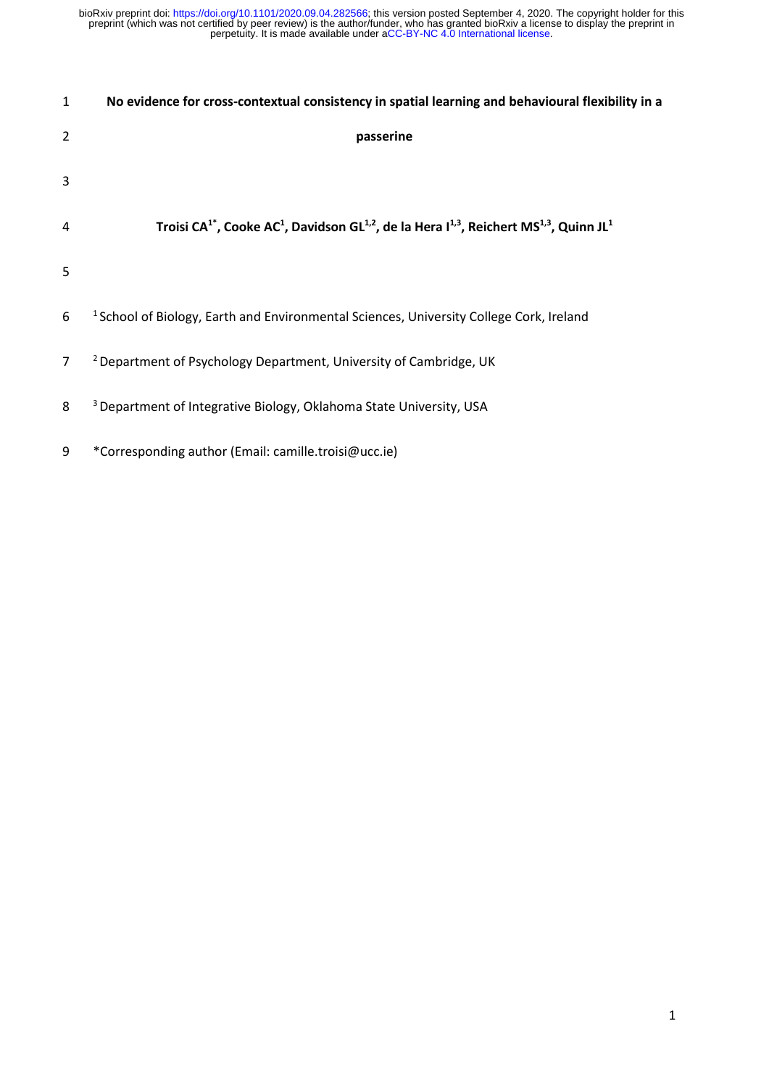| $\mathbf{1}$   | No evidence for cross-contextual consistency in spatial learning and behavioural flexibility in a                                                                           |
|----------------|-----------------------------------------------------------------------------------------------------------------------------------------------------------------------------|
| $\overline{2}$ | passerine                                                                                                                                                                   |
| 3              |                                                                                                                                                                             |
| $\overline{4}$ | Troisi CA <sup>1</sup> <sup>*</sup> , Cooke AC <sup>1</sup> , Davidson GL <sup>1,2</sup> , de la Hera I <sup>1,3</sup> , Reichert MS <sup>1,3</sup> , Quinn JL <sup>1</sup> |
| 5              |                                                                                                                                                                             |
| 6              | <sup>1</sup> School of Biology, Earth and Environmental Sciences, University College Cork, Ireland                                                                          |
| $\overline{7}$ | <sup>2</sup> Department of Psychology Department, University of Cambridge, UK                                                                                               |
| 8              | <sup>3</sup> Department of Integrative Biology, Oklahoma State University, USA                                                                                              |
| 9              | *Corresponding author (Email: camille.troisi@ucc.ie)                                                                                                                        |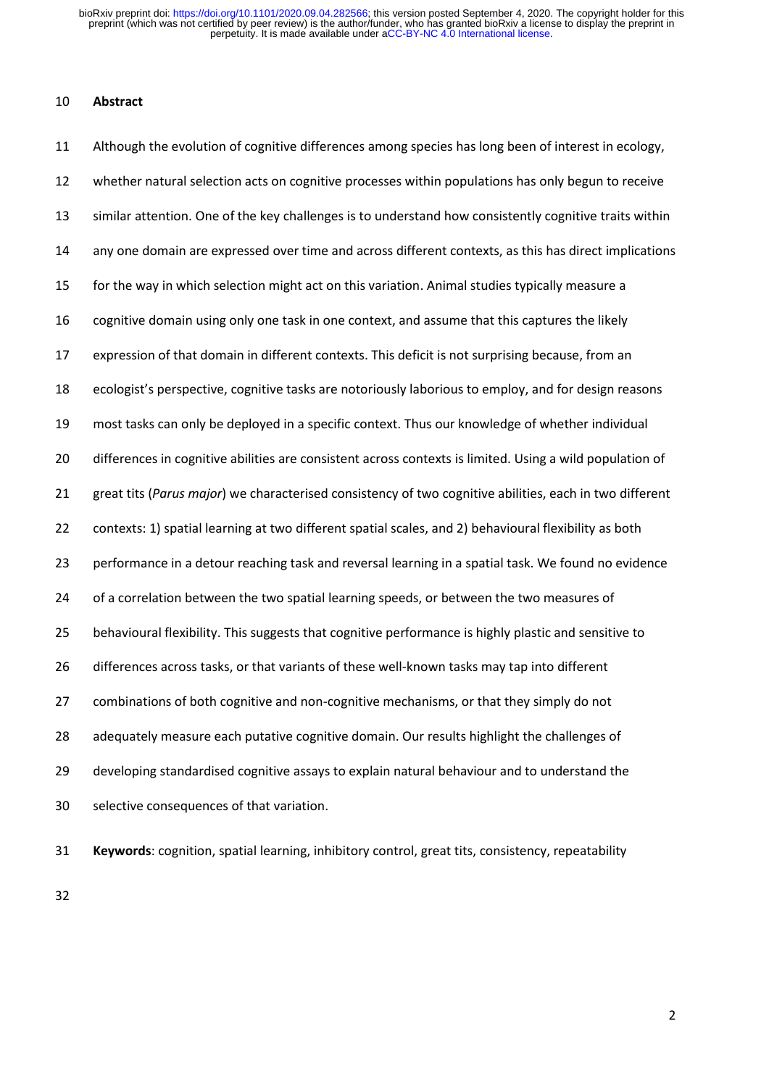# **Abstract**

 Although the evolution of cognitive differences among species has long been of interest in ecology, whether natural selection acts on cognitive processes within populations has only begun to receive similar attention. One of the key challenges is to understand how consistently cognitive traits within any one domain are expressed over time and across different contexts, as this has direct implications for the way in which selection might act on this variation. Animal studies typically measure a cognitive domain using only one task in one context, and assume that this captures the likely expression of that domain in different contexts. This deficit is not surprising because, from an ecologist's perspective, cognitive tasks are notoriously laborious to employ, and for design reasons most tasks can only be deployed in a specific context. Thus our knowledge of whether individual 20 differences in cognitive abilities are consistent across contexts is limited. Using a wild population of great tits (*Parus major*) we characterised consistency of two cognitive abilities, each in two different contexts: 1) spatial learning at two different spatial scales, and 2) behavioural flexibility as both performance in a detour reaching task and reversal learning in a spatial task. We found no evidence of a correlation between the two spatial learning speeds, or between the two measures of behavioural flexibility. This suggests that cognitive performance is highly plastic and sensitive to differences across tasks, or that variants of these well-known tasks may tap into different combinations of both cognitive and non-cognitive mechanisms, or that they simply do not adequately measure each putative cognitive domain. Our results highlight the challenges of developing standardised cognitive assays to explain natural behaviour and to understand the selective consequences of that variation.

**Keywords**: cognition, spatial learning, inhibitory control, great tits, consistency, repeatability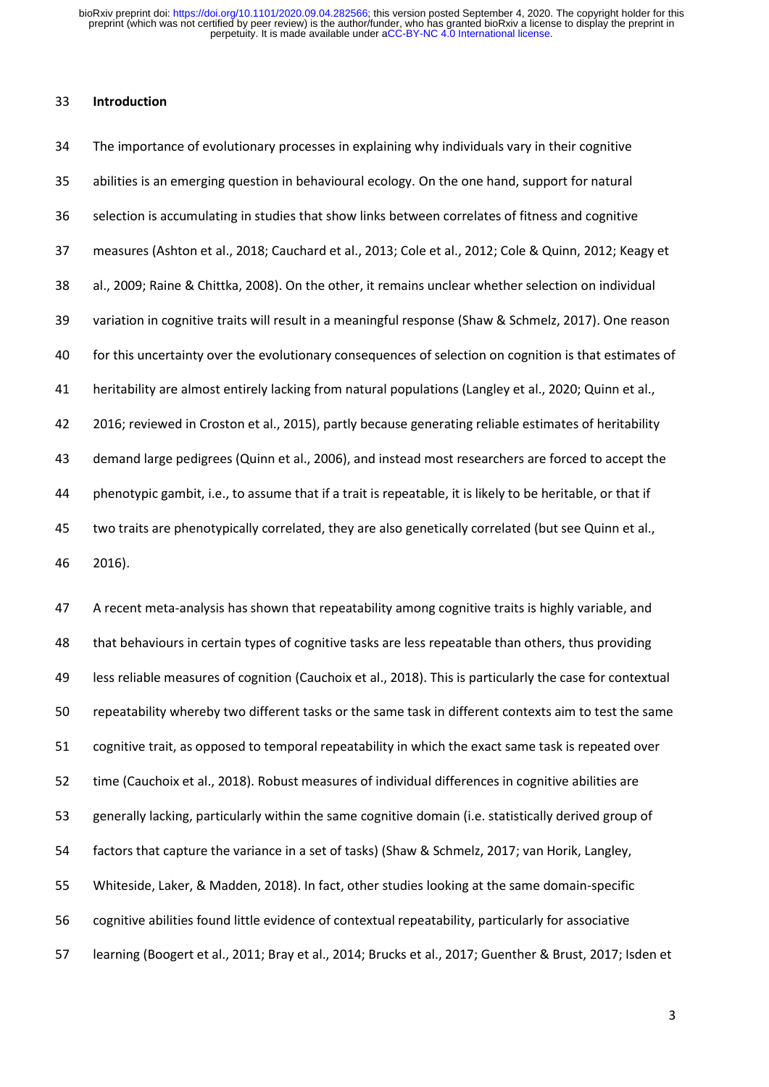### **Introduction**

 The importance of evolutionary processes in explaining why individuals vary in their cognitive abilities is an emerging question in behavioural ecology. On the one hand, support for natural selection is accumulating in studies that show links between correlates of fitness and cognitive measures (Ashton et al., 2018; Cauchard et al., 2013; Cole et al., 2012; Cole & Quinn, 2012; Keagy et al., 2009; Raine & Chittka, 2008). On the other, it remains unclear whether selection on individual variation in cognitive traits will result in a meaningful response (Shaw & Schmelz, 2017). One reason for this uncertainty over the evolutionary consequences of selection on cognition is that estimates of heritability are almost entirely lacking from natural populations (Langley et al., 2020; Quinn et al., 2016; reviewed in Croston et al., 2015), partly because generating reliable estimates of heritability demand large pedigrees (Quinn et al., 2006), and instead most researchers are forced to accept the phenotypic gambit, i.e., to assume that if a trait is repeatable, it is likely to be heritable, or that if two traits are phenotypically correlated, they are also genetically correlated (but see Quinn et al., 2016).

 A recent meta-analysis has shown that repeatability among cognitive traits is highly variable, and that behaviours in certain types of cognitive tasks are less repeatable than others, thus providing less reliable measures of cognition (Cauchoix et al., 2018). This is particularly the case for contextual repeatability whereby two different tasks or the same task in different contexts aim to test the same cognitive trait, as opposed to temporal repeatability in which the exact same task is repeated over time (Cauchoix et al., 2018). Robust measures of individual differences in cognitive abilities are generally lacking, particularly within the same cognitive domain (i.e. statistically derived group of factors that capture the variance in a set of tasks) (Shaw & Schmelz, 2017; van Horik, Langley, Whiteside, Laker, & Madden, 2018). In fact, other studies looking at the same domain-specific cognitive abilities found little evidence of contextual repeatability, particularly for associative learning (Boogert et al., 2011; Bray et al., 2014; Brucks et al., 2017; Guenther & Brust, 2017; Isden et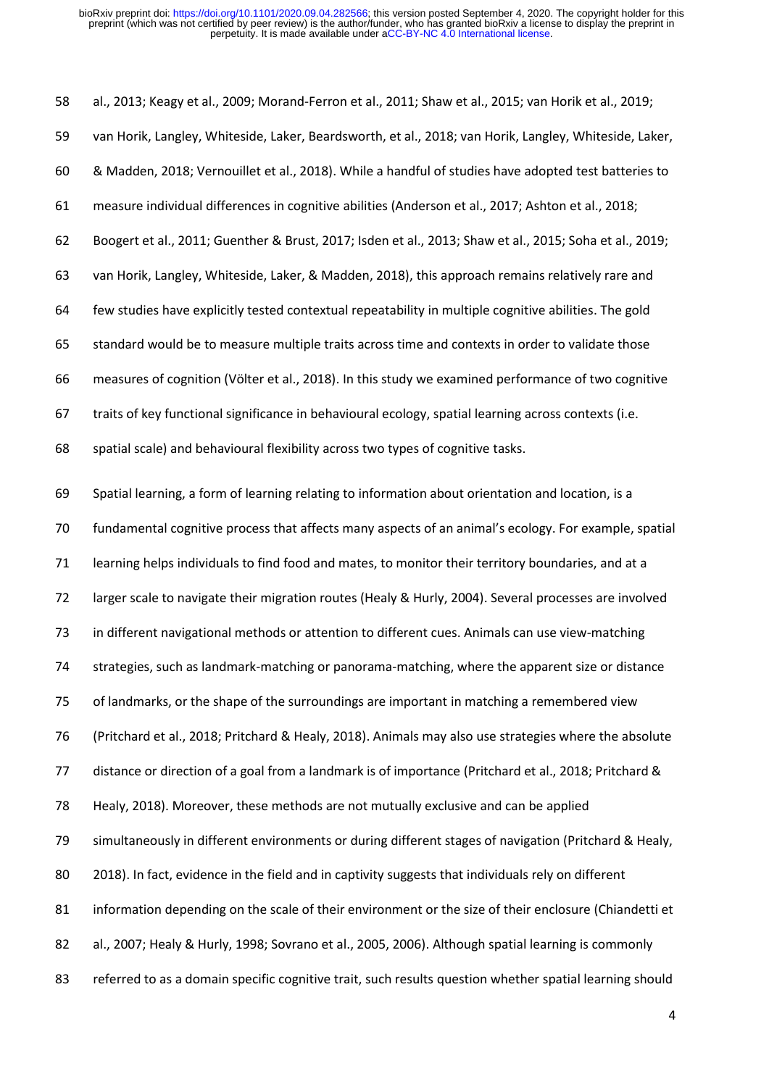al., 2013; Keagy et al., 2009; Morand-Ferron et al., 2011; Shaw et al., 2015; van Horik et al., 2019; van Horik, Langley, Whiteside, Laker, Beardsworth, et al., 2018; van Horik, Langley, Whiteside, Laker, & Madden, 2018; Vernouillet et al., 2018). While a handful of studies have adopted test batteries to measure individual differences in cognitive abilities (Anderson et al., 2017; Ashton et al., 2018; Boogert et al., 2011; Guenther & Brust, 2017; Isden et al., 2013; Shaw et al., 2015; Soha et al., 2019; van Horik, Langley, Whiteside, Laker, & Madden, 2018), this approach remains relatively rare and few studies have explicitly tested contextual repeatability in multiple cognitive abilities. The gold standard would be to measure multiple traits across time and contexts in order to validate those measures of cognition (Völter et al., 2018). In this study we examined performance of two cognitive traits of key functional significance in behavioural ecology, spatial learning across contexts (i.e. spatial scale) and behavioural flexibility across two types of cognitive tasks. Spatial learning, a form of learning relating to information about orientation and location, is a fundamental cognitive process that affects many aspects of an animal's ecology. For example, spatial learning helps individuals to find food and mates, to monitor their territory boundaries, and at a larger scale to navigate their migration routes (Healy & Hurly, 2004). Several processes are involved in different navigational methods or attention to different cues. Animals can use view-matching strategies, such as landmark-matching or panorama-matching, where the apparent size or distance of landmarks, or the shape of the surroundings are important in matching a remembered view (Pritchard et al., 2018; Pritchard & Healy, 2018). Animals may also use strategies where the absolute distance or direction of a goal from a landmark is of importance (Pritchard et al., 2018; Pritchard & Healy, 2018). Moreover, these methods are not mutually exclusive and can be applied simultaneously in different environments or during different stages of navigation (Pritchard & Healy, 2018). In fact, evidence in the field and in captivity suggests that individuals rely on different 81 information depending on the scale of their environment or the size of their enclosure (Chiandetti et al., 2007; Healy & Hurly, 1998; Sovrano et al., 2005, 2006). Although spatial learning is commonly referred to as a domain specific cognitive trait, such results question whether spatial learning should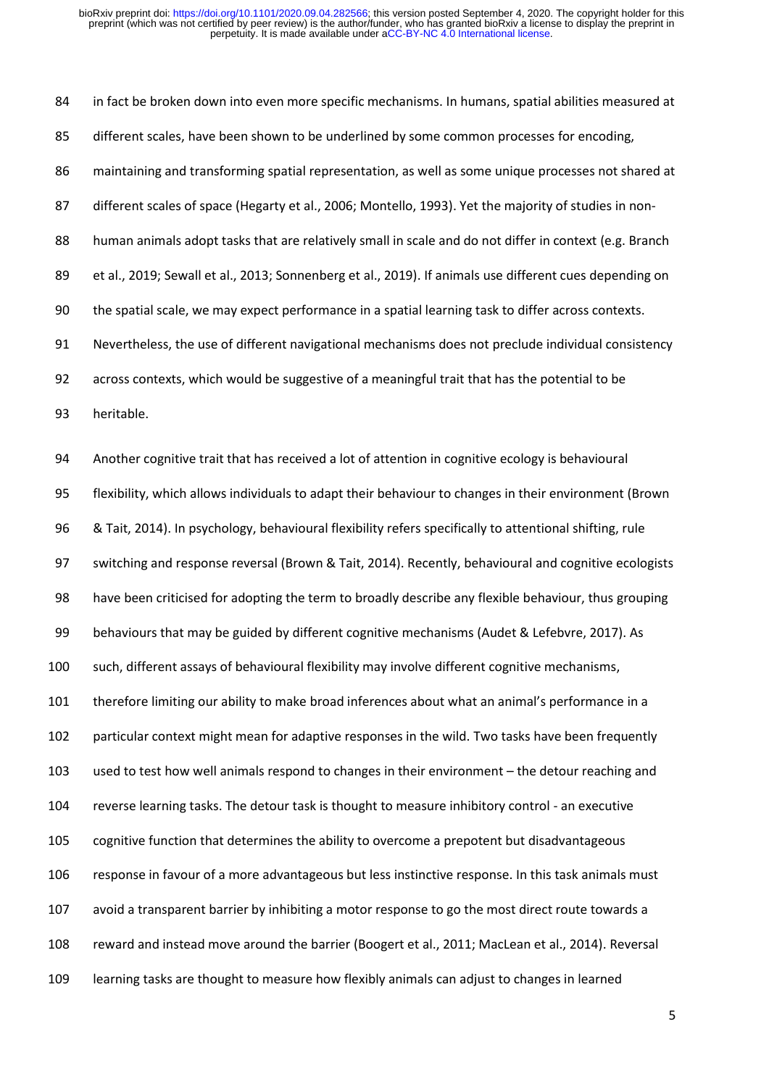in fact be broken down into even more specific mechanisms. In humans, spatial abilities measured at different scales, have been shown to be underlined by some common processes for encoding, maintaining and transforming spatial representation, as well as some unique processes not shared at different scales of space (Hegarty et al., 2006; Montello, 1993). Yet the majority of studies in non-88 human animals adopt tasks that are relatively small in scale and do not differ in context (e.g. Branch et al., 2019; Sewall et al., 2013; Sonnenberg et al., 2019). If animals use different cues depending on the spatial scale, we may expect performance in a spatial learning task to differ across contexts. Nevertheless, the use of different navigational mechanisms does not preclude individual consistency across contexts, which would be suggestive of a meaningful trait that has the potential to be heritable. Another cognitive trait that has received a lot of attention in cognitive ecology is behavioural flexibility, which allows individuals to adapt their behaviour to changes in their environment (Brown & Tait, 2014). In psychology, behavioural flexibility refers specifically to attentional shifting, rule switching and response reversal (Brown & Tait, 2014). Recently, behavioural and cognitive ecologists have been criticised for adopting the term to broadly describe any flexible behaviour, thus grouping behaviours that may be guided by different cognitive mechanisms (Audet & Lefebvre, 2017). As such, different assays of behavioural flexibility may involve different cognitive mechanisms, therefore limiting our ability to make broad inferences about what an animal's performance in a particular context might mean for adaptive responses in the wild. Two tasks have been frequently used to test how well animals respond to changes in their environment – the detour reaching and reverse learning tasks. The detour task is thought to measure inhibitory control - an executive cognitive function that determines the ability to overcome a prepotent but disadvantageous response in favour of a more advantageous but less instinctive response. In this task animals must avoid a transparent barrier by inhibiting a motor response to go the most direct route towards a reward and instead move around the barrier (Boogert et al., 2011; MacLean et al., 2014). Reversal learning tasks are thought to measure how flexibly animals can adjust to changes in learned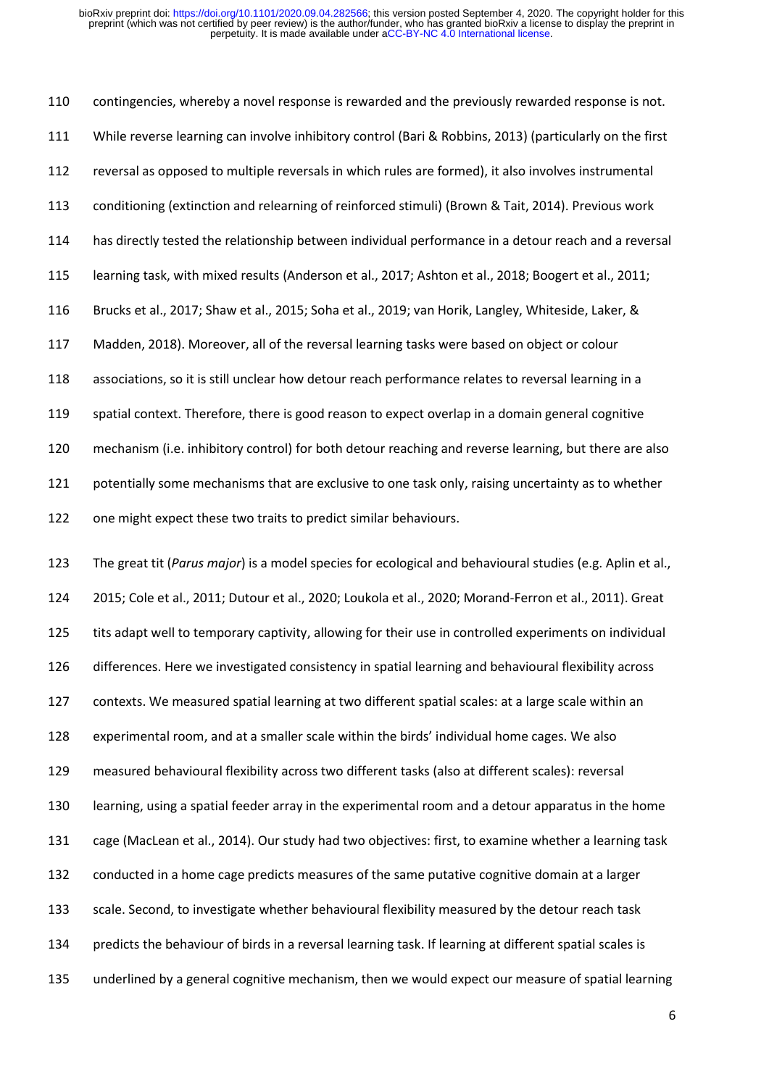contingencies, whereby a novel response is rewarded and the previously rewarded response is not. While reverse learning can involve inhibitory control (Bari & Robbins, 2013) (particularly on the first reversal as opposed to multiple reversals in which rules are formed), it also involves instrumental conditioning (extinction and relearning of reinforced stimuli) (Brown & Tait, 2014). Previous work has directly tested the relationship between individual performance in a detour reach and a reversal learning task, with mixed results (Anderson et al., 2017; Ashton et al., 2018; Boogert et al., 2011; Brucks et al., 2017; Shaw et al., 2015; Soha et al., 2019; van Horik, Langley, Whiteside, Laker, & Madden, 2018). Moreover, all of the reversal learning tasks were based on object or colour associations, so it is still unclear how detour reach performance relates to reversal learning in a spatial context. Therefore, there is good reason to expect overlap in a domain general cognitive mechanism (i.e. inhibitory control) for both detour reaching and reverse learning, but there are also 121 potentially some mechanisms that are exclusive to one task only, raising uncertainty as to whether one might expect these two traits to predict similar behaviours.

 The great tit (*Parus major*) is a model species for ecological and behavioural studies (e.g. Aplin et al., 2015; Cole et al., 2011; Dutour et al., 2020; Loukola et al., 2020; Morand-Ferron et al., 2011). Great tits adapt well to temporary captivity, allowing for their use in controlled experiments on individual differences. Here we investigated consistency in spatial learning and behavioural flexibility across contexts. We measured spatial learning at two different spatial scales: at a large scale within an experimental room, and at a smaller scale within the birds' individual home cages. We also measured behavioural flexibility across two different tasks (also at different scales): reversal learning, using a spatial feeder array in the experimental room and a detour apparatus in the home cage (MacLean et al., 2014). Our study had two objectives: first, to examine whether a learning task conducted in a home cage predicts measures of the same putative cognitive domain at a larger scale. Second, to investigate whether behavioural flexibility measured by the detour reach task predicts the behaviour of birds in a reversal learning task. If learning at different spatial scales is underlined by a general cognitive mechanism, then we would expect our measure of spatial learning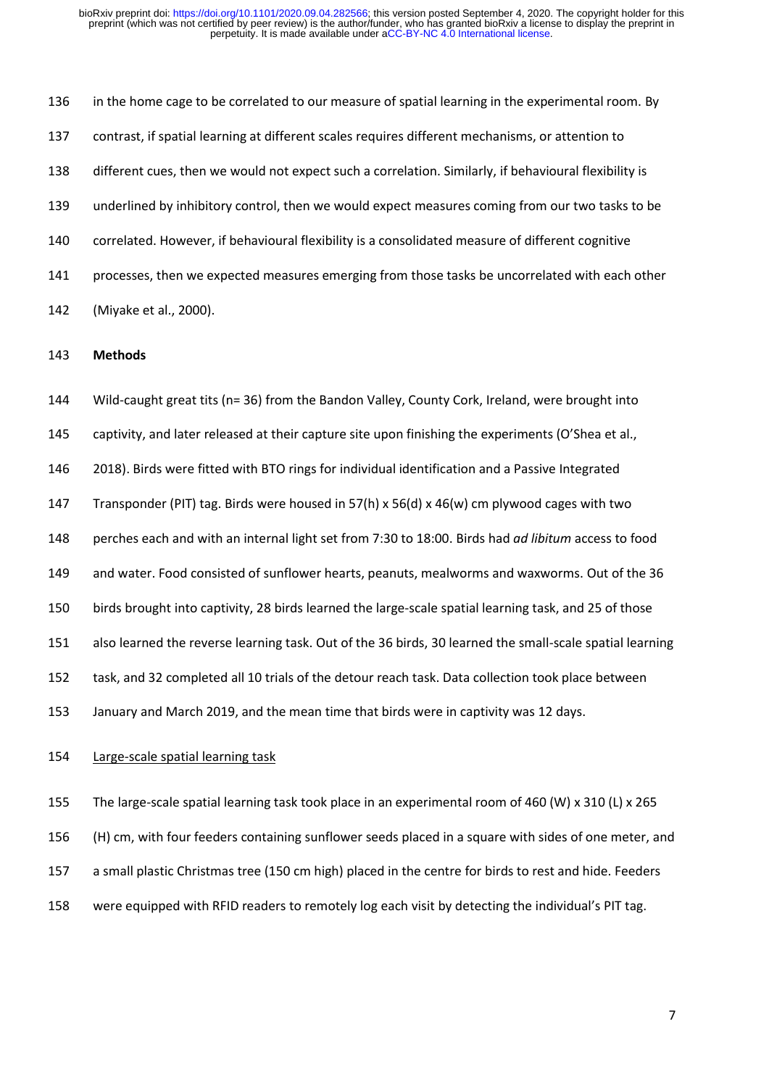in the home cage to be correlated to our measure of spatial learning in the experimental room. By contrast, if spatial learning at different scales requires different mechanisms, or attention to different cues, then we would not expect such a correlation. Similarly, if behavioural flexibility is underlined by inhibitory control, then we would expect measures coming from our two tasks to be correlated. However, if behavioural flexibility is a consolidated measure of different cognitive processes, then we expected measures emerging from those tasks be uncorrelated with each other (Miyake et al., 2000).

#### **Methods**

 Wild-caught great tits (n= 36) from the Bandon Valley, County Cork, Ireland, were brought into captivity, and later released at their capture site upon finishing the experiments (O'Shea et al.,

2018). Birds were fitted with BTO rings for individual identification and a Passive Integrated

Transponder (PIT) tag. Birds were housed in 57(h) x 56(d) x 46(w) cm plywood cages with two

perches each and with an internal light set from 7:30 to 18:00. Birds had *ad libitum* access to food

and water. Food consisted of sunflower hearts, peanuts, mealworms and waxworms. Out of the 36

birds brought into captivity, 28 birds learned the large-scale spatial learning task, and 25 of those

also learned the reverse learning task. Out of the 36 birds, 30 learned the small-scale spatial learning

task, and 32 completed all 10 trials of the detour reach task. Data collection took place between

January and March 2019, and the mean time that birds were in captivity was 12 days.

## Large-scale spatial learning task

The large-scale spatial learning task took place in an experimental room of 460 (W) x 310 (L) x 265

(H) cm, with four feeders containing sunflower seeds placed in a square with sides of one meter, and

a small plastic Christmas tree (150 cm high) placed in the centre for birds to rest and hide. Feeders

were equipped with RFID readers to remotely log each visit by detecting the individual's PIT tag.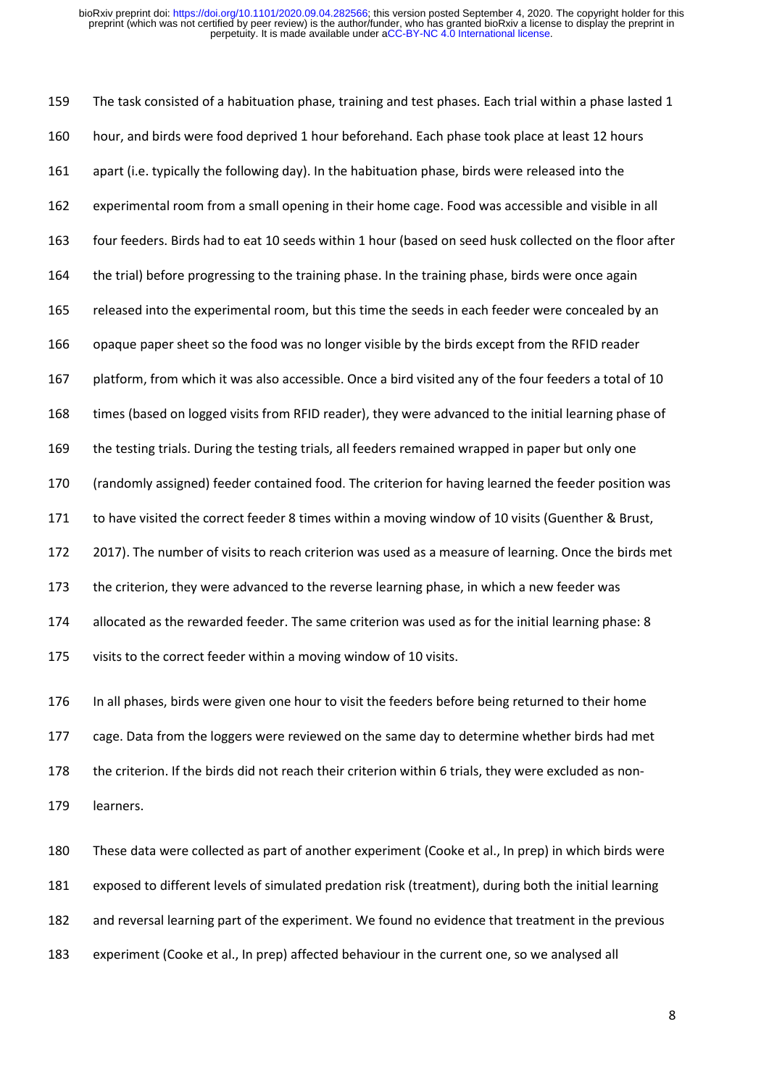The task consisted of a habituation phase, training and test phases. Each trial within a phase lasted 1 hour, and birds were food deprived 1 hour beforehand. Each phase took place at least 12 hours apart (i.e. typically the following day). In the habituation phase, birds were released into the experimental room from a small opening in their home cage. Food was accessible and visible in all four feeders. Birds had to eat 10 seeds within 1 hour (based on seed husk collected on the floor after the trial) before progressing to the training phase. In the training phase, birds were once again released into the experimental room, but this time the seeds in each feeder were concealed by an opaque paper sheet so the food was no longer visible by the birds except from the RFID reader platform, from which it was also accessible. Once a bird visited any of the four feeders a total of 10 times (based on logged visits from RFID reader), they were advanced to the initial learning phase of the testing trials. During the testing trials, all feeders remained wrapped in paper but only one (randomly assigned) feeder contained food. The criterion for having learned the feeder position was to have visited the correct feeder 8 times within a moving window of 10 visits (Guenther & Brust, 2017). The number of visits to reach criterion was used as a measure of learning. Once the birds met 173 the criterion, they were advanced to the reverse learning phase, in which a new feeder was allocated as the rewarded feeder. The same criterion was used as for the initial learning phase: 8 visits to the correct feeder within a moving window of 10 visits.

 In all phases, birds were given one hour to visit the feeders before being returned to their home cage. Data from the loggers were reviewed on the same day to determine whether birds had met the criterion. If the birds did not reach their criterion within 6 trials, they were excluded as non-learners.

 These data were collected as part of another experiment (Cooke et al., In prep) in which birds were exposed to different levels of simulated predation risk (treatment), during both the initial learning and reversal learning part of the experiment. We found no evidence that treatment in the previous experiment (Cooke et al., In prep) affected behaviour in the current one, so we analysed all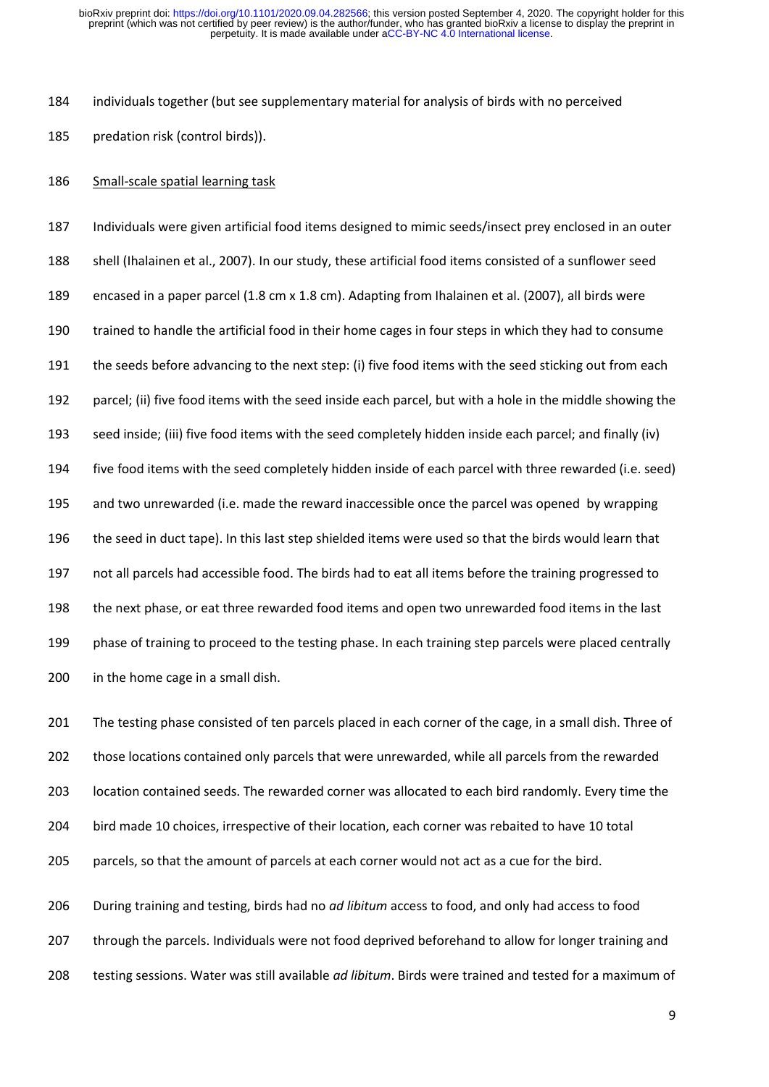individuals together (but see supplementary material for analysis of birds with no perceived predation risk (control birds)).

Small-scale spatial learning task

 Individuals were given artificial food items designed to mimic seeds/insect prey enclosed in an outer shell (Ihalainen et al., 2007). In our study, these artificial food items consisted of a sunflower seed encased in a paper parcel (1.8 cm x 1.8 cm). Adapting from Ihalainen et al. (2007), all birds were trained to handle the artificial food in their home cages in four steps in which they had to consume the seeds before advancing to the next step: (i) five food items with the seed sticking out from each parcel; (ii) five food items with the seed inside each parcel, but with a hole in the middle showing the seed inside; (iii) five food items with the seed completely hidden inside each parcel; and finally (iv) five food items with the seed completely hidden inside of each parcel with three rewarded (i.e. seed) and two unrewarded (i.e. made the reward inaccessible once the parcel was opened by wrapping the seed in duct tape). In this last step shielded items were used so that the birds would learn that not all parcels had accessible food. The birds had to eat all items before the training progressed to the next phase, or eat three rewarded food items and open two unrewarded food items in the last phase of training to proceed to the testing phase. In each training step parcels were placed centrally in the home cage in a small dish.

201 The testing phase consisted of ten parcels placed in each corner of the cage, in a small dish. Three of those locations contained only parcels that were unrewarded, while all parcels from the rewarded location contained seeds. The rewarded corner was allocated to each bird randomly. Every time the bird made 10 choices, irrespective of their location, each corner was rebaited to have 10 total parcels, so that the amount of parcels at each corner would not act as a cue for the bird.

 During training and testing, birds had no *ad libitum* access to food, and only had access to food through the parcels. Individuals were not food deprived beforehand to allow for longer training and testing sessions. Water was still available *ad libitum*. Birds were trained and tested for a maximum of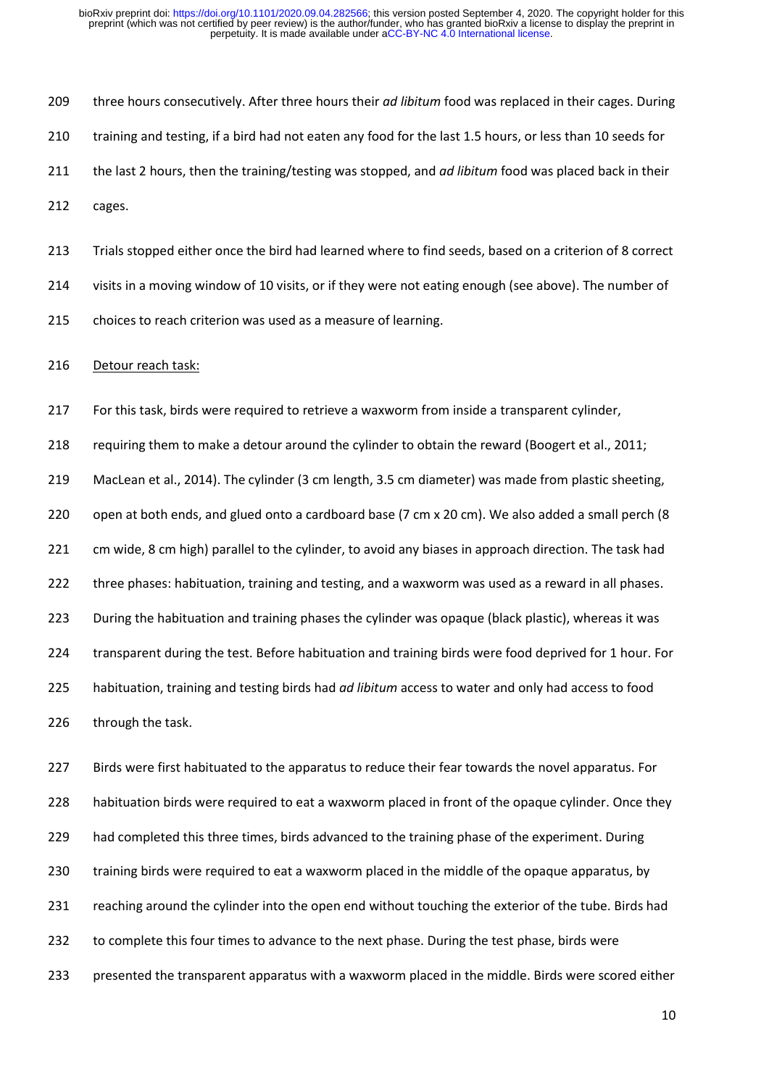three hours consecutively. After three hours their *ad libitum* food was replaced in their cages. During training and testing, if a bird had not eaten any food for the last 1.5 hours, or less than 10 seeds for the last 2 hours, then the training/testing was stopped, and *ad libitum* food was placed back in their cages.

 Trials stopped either once the bird had learned where to find seeds, based on a criterion of 8 correct visits in a moving window of 10 visits, or if they were not eating enough (see above). The number of choices to reach criterion was used as a measure of learning.

Detour reach task:

For this task, birds were required to retrieve a waxworm from inside a transparent cylinder,

requiring them to make a detour around the cylinder to obtain the reward (Boogert et al., 2011;

MacLean et al., 2014). The cylinder (3 cm length, 3.5 cm diameter) was made from plastic sheeting,

220 open at both ends, and glued onto a cardboard base (7 cm x 20 cm). We also added a small perch (8

221 cm wide, 8 cm high) parallel to the cylinder, to avoid any biases in approach direction. The task had

three phases: habituation, training and testing, and a waxworm was used as a reward in all phases.

During the habituation and training phases the cylinder was opaque (black plastic), whereas it was

transparent during the test. Before habituation and training birds were food deprived for 1 hour. For

habituation, training and testing birds had *ad libitum* access to water and only had access to food

through the task.

 Birds were first habituated to the apparatus to reduce their fear towards the novel apparatus. For habituation birds were required to eat a waxworm placed in front of the opaque cylinder. Once they 229 had completed this three times, birds advanced to the training phase of the experiment. During training birds were required to eat a waxworm placed in the middle of the opaque apparatus, by reaching around the cylinder into the open end without touching the exterior of the tube. Birds had to complete this four times to advance to the next phase. During the test phase, birds were presented the transparent apparatus with a waxworm placed in the middle. Birds were scored either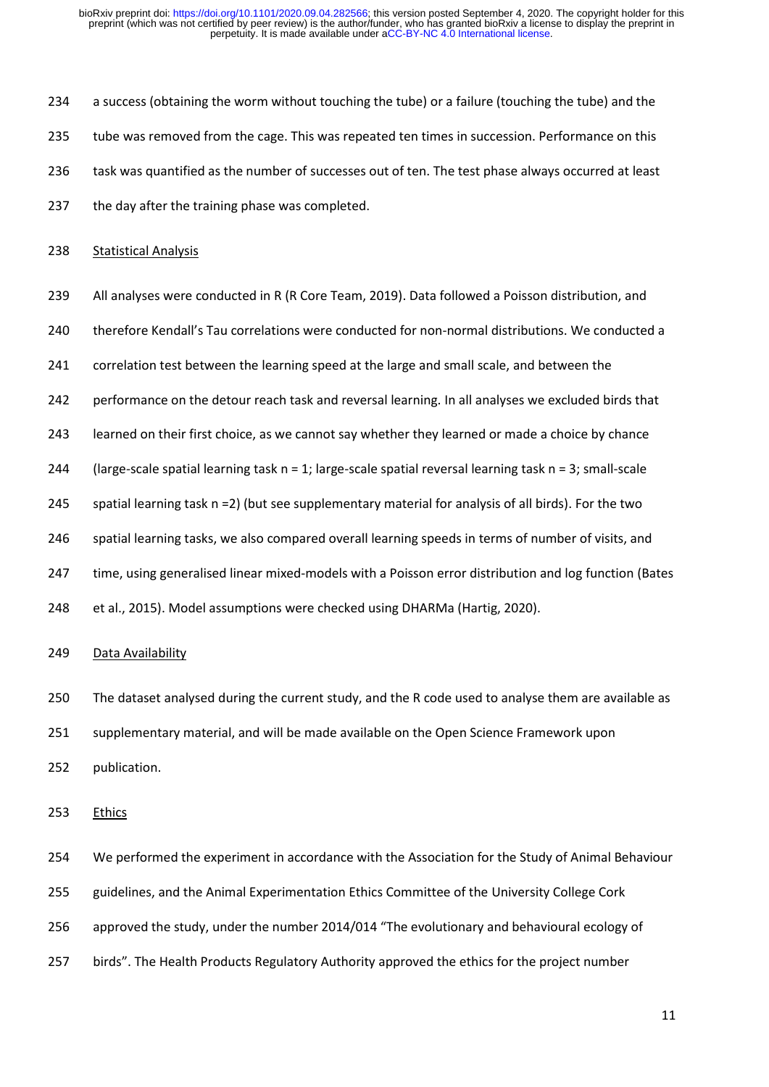a success (obtaining the worm without touching the tube) or a failure (touching the tube) and the tube was removed from the cage. This was repeated ten times in succession. Performance on this task was quantified as the number of successes out of ten. The test phase always occurred at least 237 the day after the training phase was completed.

# 238 Statistical Analysis

- 239 All analyses were conducted in R (R Core Team, 2019). Data followed a Poisson distribution, and
- therefore Kendall's Tau correlations were conducted for non-normal distributions. We conducted a
- correlation test between the learning speed at the large and small scale, and between the
- performance on the detour reach task and reversal learning. In all analyses we excluded birds that
- learned on their first choice, as we cannot say whether they learned or made a choice by chance
- 244 (large-scale spatial learning task  $n = 1$ ; large-scale spatial reversal learning task  $n = 3$ ; small-scale
- spatial learning task n =2) (but see supplementary material for analysis of all birds). For the two
- spatial learning tasks, we also compared overall learning speeds in terms of number of visits, and
- time, using generalised linear mixed-models with a Poisson error distribution and log function (Bates
- et al., 2015). Model assumptions were checked using DHARMa (Hartig, 2020).

# 249 Data Availability

- The dataset analysed during the current study, and the R code used to analyse them are available as
- supplementary material, and will be made available on the Open Science Framework upon
- publication.
- Ethics
- We performed the experiment in accordance with the Association for the Study of Animal Behaviour
- guidelines, and the Animal Experimentation Ethics Committee of the University College Cork
- approved the study, under the number 2014/014 "The evolutionary and behavioural ecology of
- birds". The Health Products Regulatory Authority approved the ethics for the project number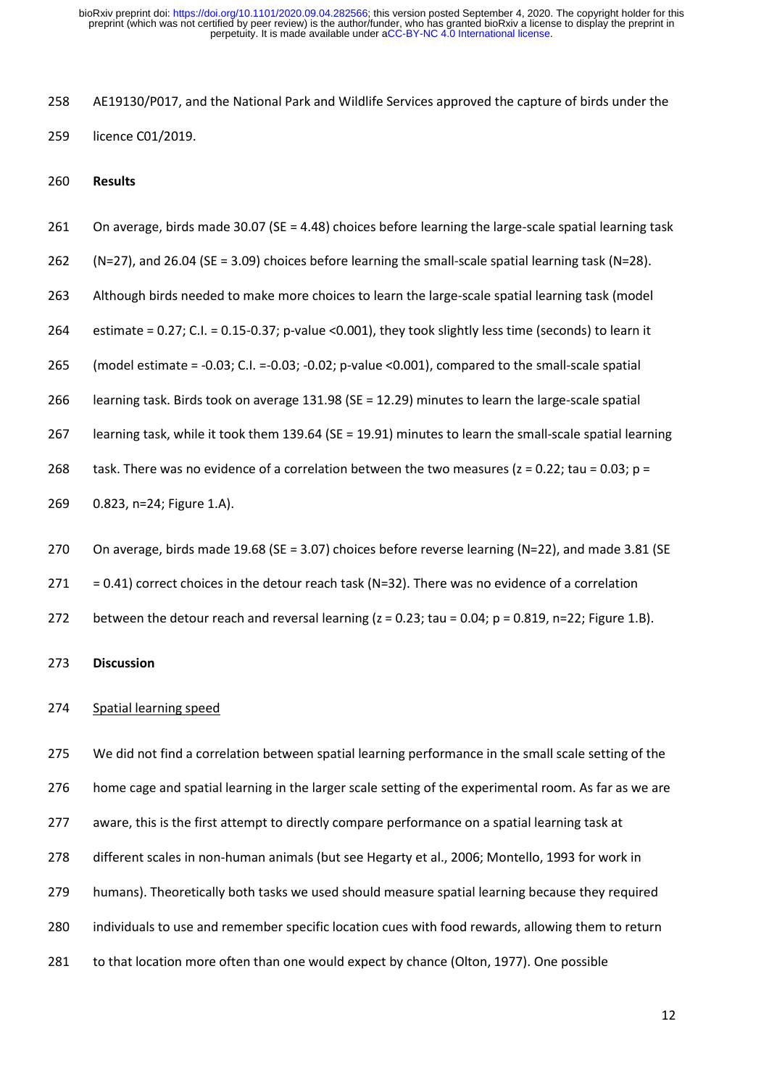AE19130/P017, and the National Park and Wildlife Services approved the capture of birds under the licence C01/2019.

**Results**

On average, birds made 30.07 (SE = 4.48) choices before learning the large-scale spatial learning task

(N=27), and 26.04 (SE = 3.09) choices before learning the small-scale spatial learning task (N=28).

263 Although birds needed to make more choices to learn the large-scale spatial learning task (model

estimate = 0.27; C.I. = 0.15-0.37; p-value <0.001), they took slightly less time (seconds) to learn it

(model estimate = -0.03; C.I. =-0.03; -0.02; p-value <0.001), compared to the small-scale spatial

learning task. Birds took on average 131.98 (SE = 12.29) minutes to learn the large-scale spatial

learning task, while it took them 139.64 (SE = 19.91) minutes to learn the small-scale spatial learning

268 task. There was no evidence of a correlation between the two measures ( $z = 0.22$ ; tau = 0.03;  $p =$ 

0.823, n=24; Figure 1.A).

On average, birds made 19.68 (SE = 3.07) choices before reverse learning (N=22), and made 3.81 (SE

= 0.41) correct choices in the detour reach task (N=32). There was no evidence of a correlation

272 between the detour reach and reversal learning  $(z = 0.23; \text{tau} = 0.04; p = 0.819, n = 22; \text{ Figure 1.8}).$ 

**Discussion**

## Spatial learning speed

 We did not find a correlation between spatial learning performance in the small scale setting of the 276 home cage and spatial learning in the larger scale setting of the experimental room. As far as we are aware, this is the first attempt to directly compare performance on a spatial learning task at different scales in non-human animals (but see Hegarty et al., 2006; Montello, 1993 for work in humans). Theoretically both tasks we used should measure spatial learning because they required individuals to use and remember specific location cues with food rewards, allowing them to return to that location more often than one would expect by chance (Olton, 1977). One possible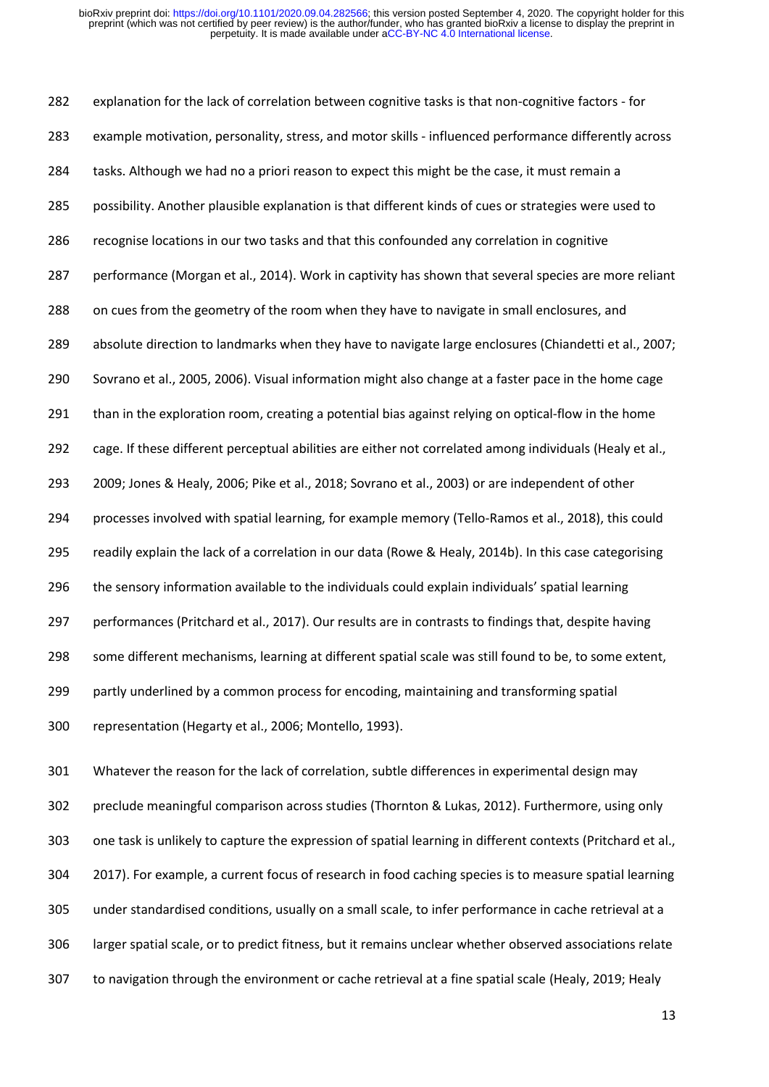explanation for the lack of correlation between cognitive tasks is that non-cognitive factors - for example motivation, personality, stress, and motor skills - influenced performance differently across 284 tasks. Although we had no a priori reason to expect this might be the case, it must remain a possibility. Another plausible explanation is that different kinds of cues or strategies were used to recognise locations in our two tasks and that this confounded any correlation in cognitive performance (Morgan et al., 2014). Work in captivity has shown that several species are more reliant on cues from the geometry of the room when they have to navigate in small enclosures, and absolute direction to landmarks when they have to navigate large enclosures (Chiandetti et al., 2007; Sovrano et al., 2005, 2006). Visual information might also change at a faster pace in the home cage than in the exploration room, creating a potential bias against relying on optical-flow in the home cage. If these different perceptual abilities are either not correlated among individuals (Healy et al., 2009; Jones & Healy, 2006; Pike et al., 2018; Sovrano et al., 2003) or are independent of other processes involved with spatial learning, for example memory (Tello-Ramos et al., 2018), this could readily explain the lack of a correlation in our data (Rowe & Healy, 2014b). In this case categorising the sensory information available to the individuals could explain individuals' spatial learning performances (Pritchard et al., 2017). Our results are in contrasts to findings that, despite having some different mechanisms, learning at different spatial scale was still found to be, to some extent, partly underlined by a common process for encoding, maintaining and transforming spatial representation (Hegarty et al., 2006; Montello, 1993).

 Whatever the reason for the lack of correlation, subtle differences in experimental design may preclude meaningful comparison across studies (Thornton & Lukas, 2012). Furthermore, using only one task is unlikely to capture the expression of spatial learning in different contexts (Pritchard et al., 2017). For example, a current focus of research in food caching species is to measure spatial learning under standardised conditions, usually on a small scale, to infer performance in cache retrieval at a larger spatial scale, or to predict fitness, but it remains unclear whether observed associations relate to navigation through the environment or cache retrieval at a fine spatial scale (Healy, 2019; Healy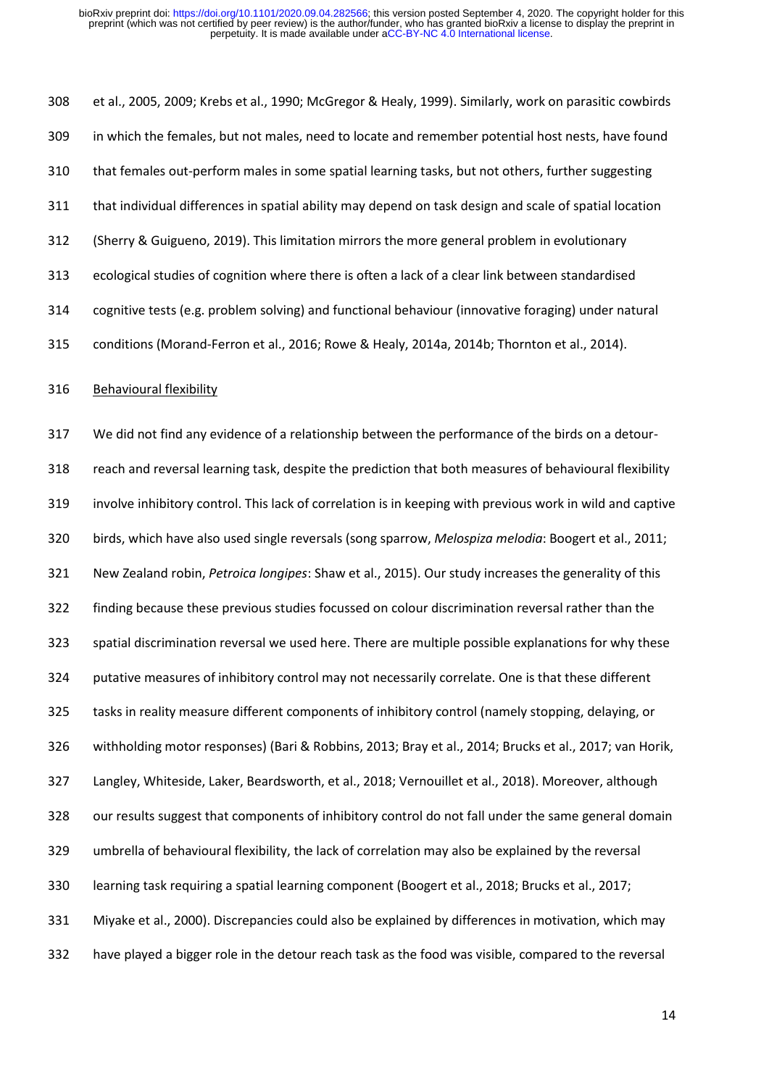et al., 2005, 2009; Krebs et al., 1990; McGregor & Healy, 1999). Similarly, work on parasitic cowbirds in which the females, but not males, need to locate and remember potential host nests, have found that females out-perform males in some spatial learning tasks, but not others, further suggesting that individual differences in spatial ability may depend on task design and scale of spatial location (Sherry & Guigueno, 2019). This limitation mirrors the more general problem in evolutionary ecological studies of cognition where there is often a lack of a clear link between standardised cognitive tests (e.g. problem solving) and functional behaviour (innovative foraging) under natural conditions (Morand-Ferron et al., 2016; Rowe & Healy, 2014a, 2014b; Thornton et al., 2014). Behavioural flexibility

 We did not find any evidence of a relationship between the performance of the birds on a detour- reach and reversal learning task, despite the prediction that both measures of behavioural flexibility involve inhibitory control. This lack of correlation is in keeping with previous work in wild and captive birds, which have also used single reversals (song sparrow, *Melospiza melodia*: Boogert et al., 2011; New Zealand robin, *Petroica longipes*: Shaw et al., 2015). Our study increases the generality of this finding because these previous studies focussed on colour discrimination reversal rather than the spatial discrimination reversal we used here. There are multiple possible explanations for why these putative measures of inhibitory control may not necessarily correlate. One is that these different tasks in reality measure different components of inhibitory control (namely stopping, delaying, or withholding motor responses) (Bari & Robbins, 2013; Bray et al., 2014; Brucks et al., 2017; van Horik, Langley, Whiteside, Laker, Beardsworth, et al., 2018; Vernouillet et al., 2018). Moreover, although our results suggest that components of inhibitory control do not fall under the same general domain umbrella of behavioural flexibility, the lack of correlation may also be explained by the reversal learning task requiring a spatial learning component (Boogert et al., 2018; Brucks et al., 2017; Miyake et al., 2000). Discrepancies could also be explained by differences in motivation, which may have played a bigger role in the detour reach task as the food was visible, compared to the reversal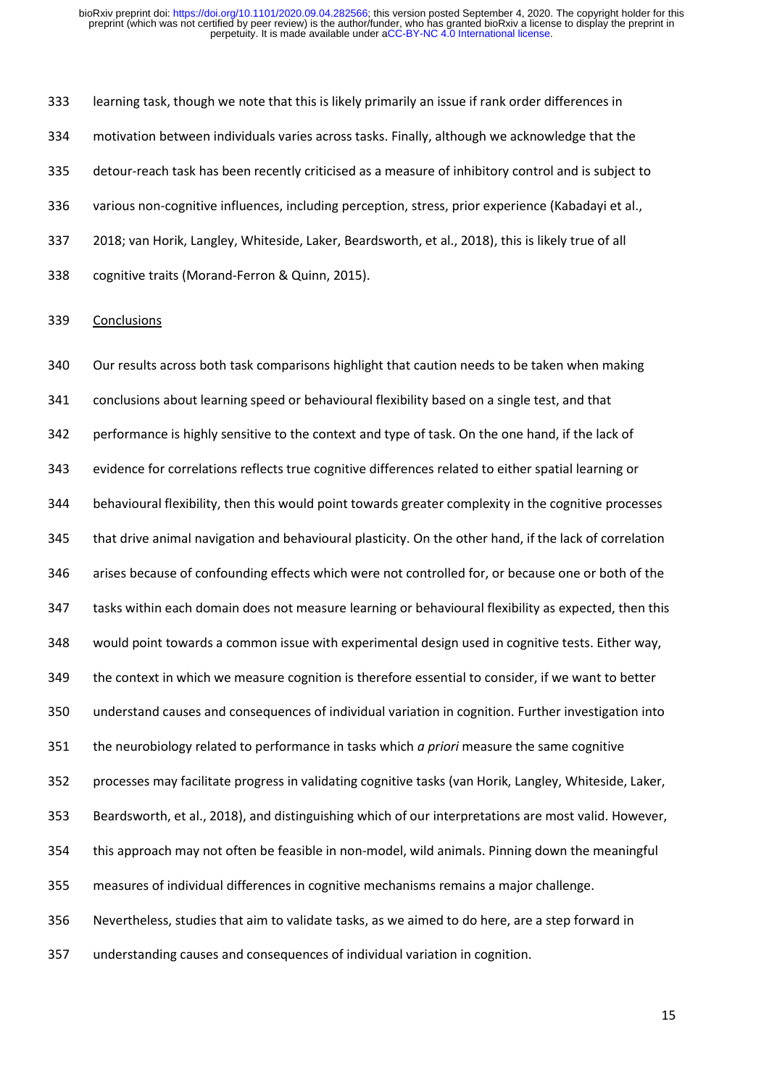learning task, though we note that this is likely primarily an issue if rank order differences in motivation between individuals varies across tasks. Finally, although we acknowledge that the detour-reach task has been recently criticised as a measure of inhibitory control and is subject to various non-cognitive influences, including perception, stress, prior experience (Kabadayi et al., 2018; van Horik, Langley, Whiteside, Laker, Beardsworth, et al., 2018), this is likely true of all cognitive traits (Morand-Ferron & Quinn, 2015).

# Conclusions

 Our results across both task comparisons highlight that caution needs to be taken when making conclusions about learning speed or behavioural flexibility based on a single test, and that performance is highly sensitive to the context and type of task. On the one hand, if the lack of evidence for correlations reflects true cognitive differences related to either spatial learning or behavioural flexibility, then this would point towards greater complexity in the cognitive processes that drive animal navigation and behavioural plasticity. On the other hand, if the lack of correlation arises because of confounding effects which were not controlled for, or because one or both of the tasks within each domain does not measure learning or behavioural flexibility as expected, then this would point towards a common issue with experimental design used in cognitive tests. Either way, the context in which we measure cognition is therefore essential to consider, if we want to better understand causes and consequences of individual variation in cognition. Further investigation into the neurobiology related to performance in tasks which *a priori* measure the same cognitive processes may facilitate progress in validating cognitive tasks (van Horik, Langley, Whiteside, Laker, Beardsworth, et al., 2018), and distinguishing which of our interpretations are most valid. However, this approach may not often be feasible in non-model, wild animals. Pinning down the meaningful measures of individual differences in cognitive mechanisms remains a major challenge. Nevertheless, studies that aim to validate tasks, as we aimed to do here, are a step forward in understanding causes and consequences of individual variation in cognition.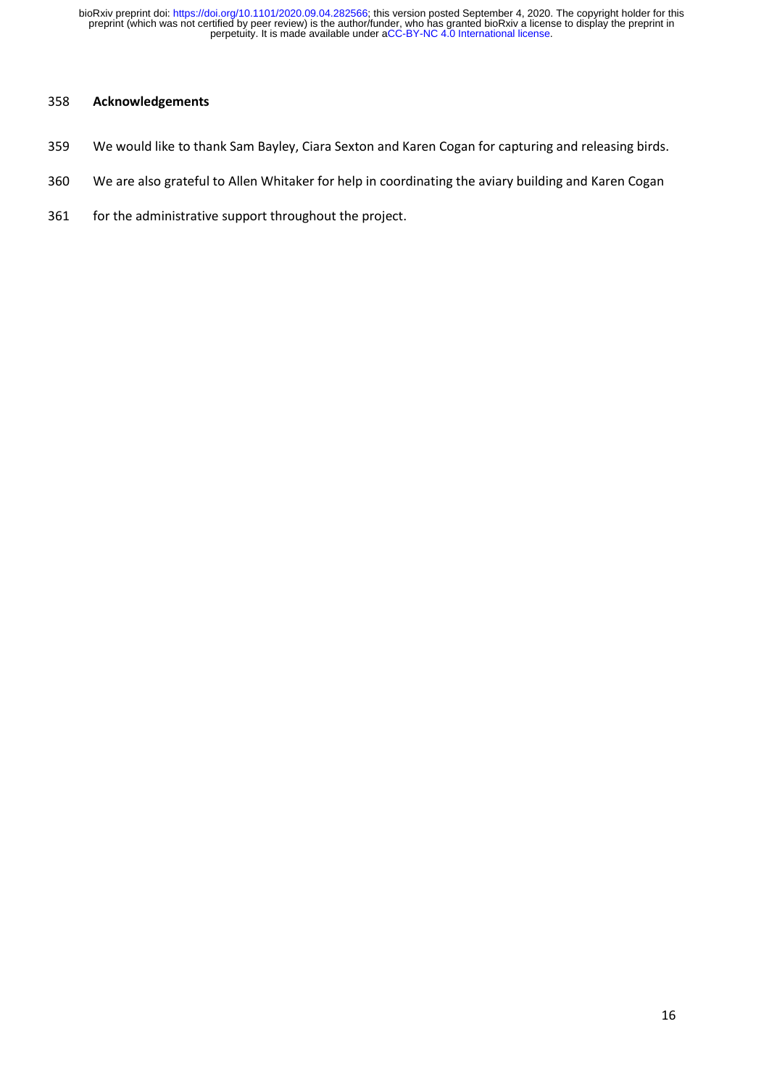# **Acknowledgements**

- We would like to thank Sam Bayley, Ciara Sexton and Karen Cogan for capturing and releasing birds.
- We are also grateful to Allen Whitaker for help in coordinating the aviary building and Karen Cogan
- for the administrative support throughout the project.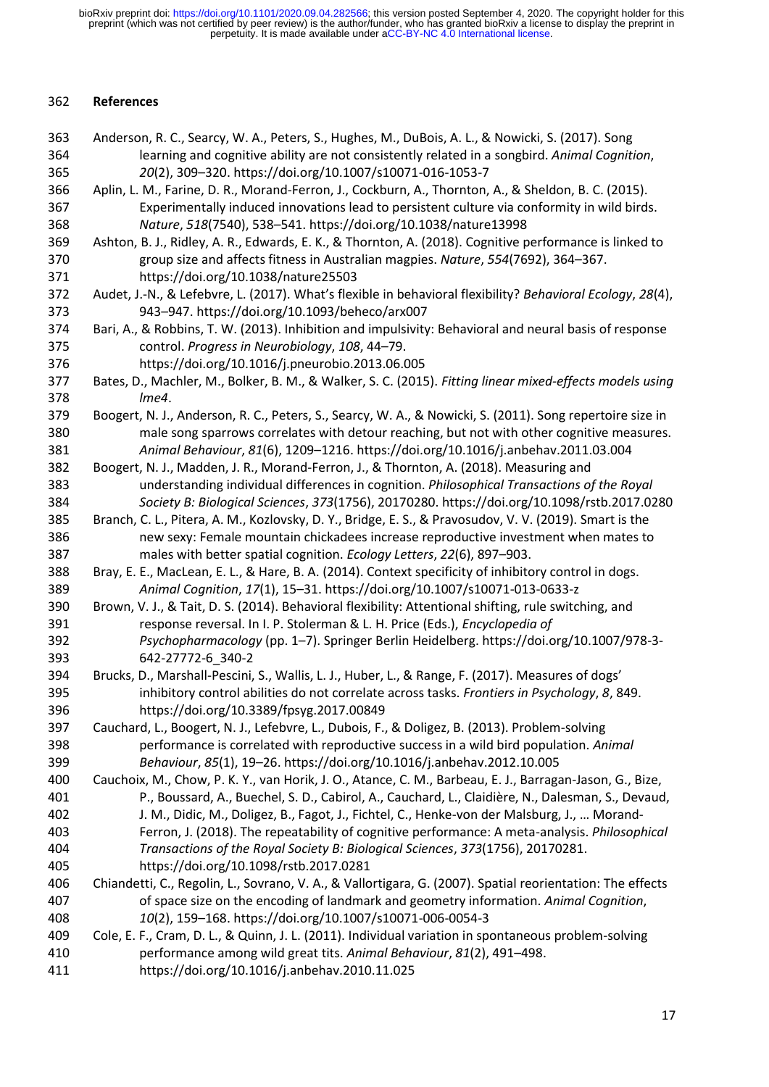# **References**

| 363 | Anderson, R. C., Searcy, W. A., Peters, S., Hughes, M., DuBois, A. L., & Nowicki, S. (2017). Song          |
|-----|------------------------------------------------------------------------------------------------------------|
| 364 | learning and cognitive ability are not consistently related in a songbird. Animal Cognition,               |
| 365 | 20(2), 309-320. https://doi.org/10.1007/s10071-016-1053-7                                                  |
| 366 | Aplin, L. M., Farine, D. R., Morand-Ferron, J., Cockburn, A., Thornton, A., & Sheldon, B. C. (2015).       |
| 367 | Experimentally induced innovations lead to persistent culture via conformity in wild birds.                |
| 368 | Nature, 518(7540), 538-541. https://doi.org/10.1038/nature13998                                            |
| 369 | Ashton, B. J., Ridley, A. R., Edwards, E. K., & Thornton, A. (2018). Cognitive performance is linked to    |
| 370 | group size and affects fitness in Australian magpies. Nature, 554(7692), 364-367.                          |
| 371 | https://doi.org/10.1038/nature25503                                                                        |
| 372 | Audet, J.-N., & Lefebvre, L. (2017). What's flexible in behavioral flexibility? Behavioral Ecology, 28(4), |
| 373 | 943-947. https://doi.org/10.1093/beheco/arx007                                                             |
| 374 | Bari, A., & Robbins, T. W. (2013). Inhibition and impulsivity: Behavioral and neural basis of response     |
| 375 | control. Progress in Neurobiology, 108, 44-79.                                                             |
| 376 | https://doi.org/10.1016/j.pneurobio.2013.06.005                                                            |
| 377 | Bates, D., Machler, M., Bolker, B. M., & Walker, S. C. (2015). Fitting linear mixed-effects models using   |
| 378 | lme4.                                                                                                      |
| 379 | Boogert, N. J., Anderson, R. C., Peters, S., Searcy, W. A., & Nowicki, S. (2011). Song repertoire size in  |
| 380 | male song sparrows correlates with detour reaching, but not with other cognitive measures.                 |
| 381 | Animal Behaviour, 81(6), 1209-1216. https://doi.org/10.1016/j.anbehav.2011.03.004                          |
| 382 | Boogert, N. J., Madden, J. R., Morand-Ferron, J., & Thornton, A. (2018). Measuring and                     |
| 383 | understanding individual differences in cognition. Philosophical Transactions of the Royal                 |
| 384 | Society B: Biological Sciences, 373(1756), 20170280. https://doi.org/10.1098/rstb.2017.0280                |
| 385 | Branch, C. L., Pitera, A. M., Kozlovsky, D. Y., Bridge, E. S., & Pravosudov, V. V. (2019). Smart is the    |
| 386 | new sexy: Female mountain chickadees increase reproductive investment when mates to                        |
| 387 | males with better spatial cognition. Ecology Letters, 22(6), 897-903.                                      |
| 388 | Bray, E. E., MacLean, E. L., & Hare, B. A. (2014). Context specificity of inhibitory control in dogs.      |
| 389 | Animal Cognition, 17(1), 15-31. https://doi.org/10.1007/s10071-013-0633-z                                  |
| 390 | Brown, V. J., & Tait, D. S. (2014). Behavioral flexibility: Attentional shifting, rule switching, and      |
| 391 | response reversal. In I. P. Stolerman & L. H. Price (Eds.), Encyclopedia of                                |
| 392 | Psychopharmacology (pp. 1-7). Springer Berlin Heidelberg. https://doi.org/10.1007/978-3-                   |
| 393 | 642-27772-6 340-2                                                                                          |
| 394 | Brucks, D., Marshall-Pescini, S., Wallis, L. J., Huber, L., & Range, F. (2017). Measures of dogs'          |
| 395 | inhibitory control abilities do not correlate across tasks. Frontiers in Psychology, 8, 849.               |
| 396 | https://doi.org/10.3389/fpsyg.2017.00849                                                                   |
| 397 | Cauchard, L., Boogert, N. J., Lefebvre, L., Dubois, F., & Doligez, B. (2013). Problem-solving              |
| 398 | performance is correlated with reproductive success in a wild bird population. Animal                      |
| 399 | Behaviour, 85(1), 19-26. https://doi.org/10.1016/j.anbehav.2012.10.005                                     |
| 400 | Cauchoix, M., Chow, P. K. Y., van Horik, J. O., Atance, C. M., Barbeau, E. J., Barragan-Jason, G., Bize,   |
| 401 | P., Boussard, A., Buechel, S. D., Cabirol, A., Cauchard, L., Claidière, N., Dalesman, S., Devaud,          |
| 402 | J. M., Didic, M., Doligez, B., Fagot, J., Fichtel, C., Henke-von der Malsburg, J.,  Morand-                |
| 403 | Ferron, J. (2018). The repeatability of cognitive performance: A meta-analysis. Philosophical              |
| 404 | Transactions of the Royal Society B: Biological Sciences, 373(1756), 20170281.                             |
| 405 | https://doi.org/10.1098/rstb.2017.0281                                                                     |
| 406 | Chiandetti, C., Regolin, L., Sovrano, V. A., & Vallortigara, G. (2007). Spatial reorientation: The effects |
| 407 | of space size on the encoding of landmark and geometry information. Animal Cognition,                      |
| 408 | 10(2), 159-168. https://doi.org/10.1007/s10071-006-0054-3                                                  |
| 409 | Cole, E. F., Cram, D. L., & Quinn, J. L. (2011). Individual variation in spontaneous problem-solving       |
| 410 | performance among wild great tits. Animal Behaviour, 81(2), 491-498.                                       |
| 411 | https://doi.org/10.1016/j.anbehav.2010.11.025                                                              |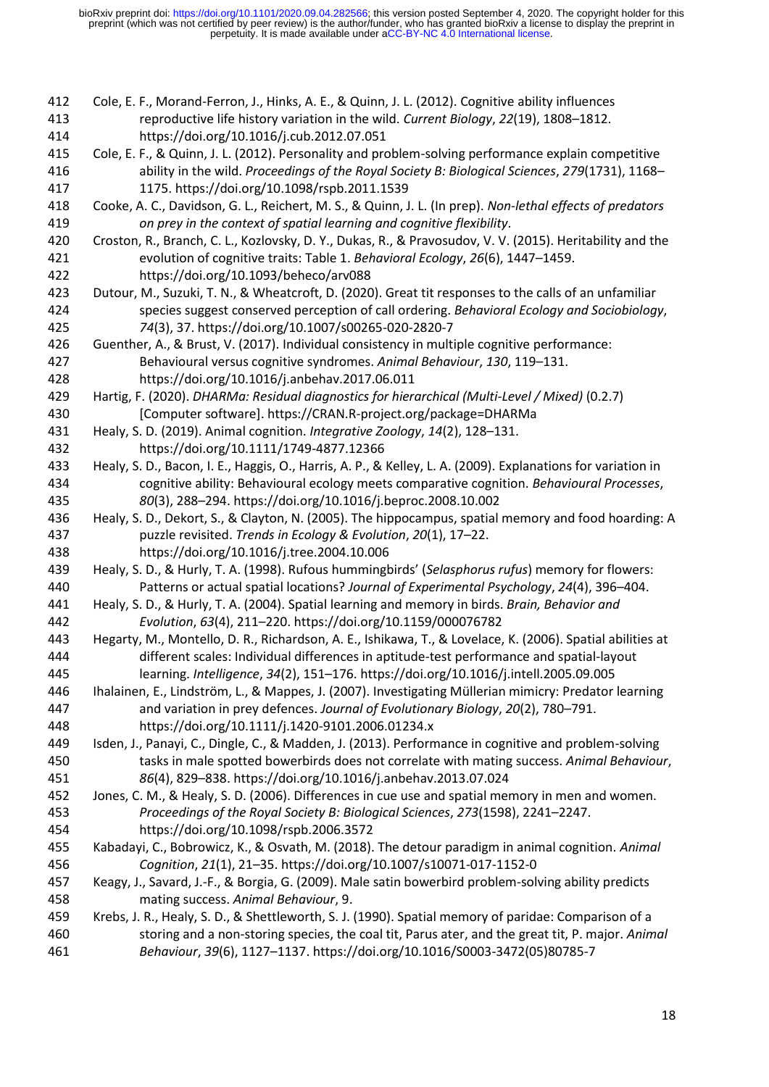| 412<br>413 | Cole, E. F., Morand-Ferron, J., Hinks, A. E., & Quinn, J. L. (2012). Cognitive ability influences<br>reproductive life history variation in the wild. Current Biology, 22(19), 1808-1812.                  |
|------------|------------------------------------------------------------------------------------------------------------------------------------------------------------------------------------------------------------|
| 414        | https://doi.org/10.1016/j.cub.2012.07.051                                                                                                                                                                  |
| 415        | Cole, E. F., & Quinn, J. L. (2012). Personality and problem-solving performance explain competitive                                                                                                        |
| 416<br>417 | ability in the wild. Proceedings of the Royal Society B: Biological Sciences, 279(1731), 1168-                                                                                                             |
| 418        | 1175. https://doi.org/10.1098/rspb.2011.1539<br>Cooke, A. C., Davidson, G. L., Reichert, M. S., & Quinn, J. L. (In prep). Non-lethal effects of predators                                                  |
| 419        | on prey in the context of spatial learning and cognitive flexibility.                                                                                                                                      |
| 420        | Croston, R., Branch, C. L., Kozlovsky, D. Y., Dukas, R., & Pravosudov, V. V. (2015). Heritability and the                                                                                                  |
| 421        | evolution of cognitive traits: Table 1. Behavioral Ecology, 26(6), 1447-1459.                                                                                                                              |
| 422        | https://doi.org/10.1093/beheco/arv088                                                                                                                                                                      |
| 423        | Dutour, M., Suzuki, T. N., & Wheatcroft, D. (2020). Great tit responses to the calls of an unfamiliar                                                                                                      |
| 424        | species suggest conserved perception of call ordering. Behavioral Ecology and Sociobiology,                                                                                                                |
| 425        | 74(3), 37. https://doi.org/10.1007/s00265-020-2820-7                                                                                                                                                       |
| 426        | Guenther, A., & Brust, V. (2017). Individual consistency in multiple cognitive performance:                                                                                                                |
| 427        | Behavioural versus cognitive syndromes. Animal Behaviour, 130, 119-131.                                                                                                                                    |
| 428        | https://doi.org/10.1016/j.anbehav.2017.06.011                                                                                                                                                              |
| 429        | Hartig, F. (2020). DHARMa: Residual diagnostics for hierarchical (Multi-Level / Mixed) (0.2.7)                                                                                                             |
| 430        | [Computer software]. https://CRAN.R-project.org/package=DHARMa                                                                                                                                             |
| 431        | Healy, S. D. (2019). Animal cognition. Integrative Zoology, 14(2), 128-131.<br>https://doi.org/10.1111/1749-4877.12366                                                                                     |
| 432<br>433 |                                                                                                                                                                                                            |
| 434        | Healy, S. D., Bacon, I. E., Haggis, O., Harris, A. P., & Kelley, L. A. (2009). Explanations for variation in<br>cognitive ability: Behavioural ecology meets comparative cognition. Behavioural Processes, |
| 435        | 80(3), 288-294. https://doi.org/10.1016/j.beproc.2008.10.002                                                                                                                                               |
| 436        | Healy, S. D., Dekort, S., & Clayton, N. (2005). The hippocampus, spatial memory and food hoarding: A                                                                                                       |
| 437        | puzzle revisited. Trends in Ecology & Evolution, 20(1), 17-22.                                                                                                                                             |
| 438        | https://doi.org/10.1016/j.tree.2004.10.006                                                                                                                                                                 |
| 439        | Healy, S. D., & Hurly, T. A. (1998). Rufous hummingbirds' (Selasphorus rufus) memory for flowers:                                                                                                          |
| 440        | Patterns or actual spatial locations? Journal of Experimental Psychology, 24(4), 396-404.                                                                                                                  |
| 441        | Healy, S. D., & Hurly, T. A. (2004). Spatial learning and memory in birds. Brain, Behavior and                                                                                                             |
| 442        | Evolution, 63(4), 211-220. https://doi.org/10.1159/000076782                                                                                                                                               |
| 443        | Hegarty, M., Montello, D. R., Richardson, A. E., Ishikawa, T., & Lovelace, K. (2006). Spatial abilities at                                                                                                 |
| 444        | different scales: Individual differences in aptitude-test performance and spatial-layout                                                                                                                   |
| 445        | learning. Intelligence, 34(2), 151-176. https://doi.org/10.1016/j.intell.2005.09.005                                                                                                                       |
| 446        | Ihalainen, E., Lindström, L., & Mappes, J. (2007). Investigating Müllerian mimicry: Predator learning                                                                                                      |
| 447        | and variation in prey defences. Journal of Evolutionary Biology, 20(2), 780-791.                                                                                                                           |
| 448        | https://doi.org/10.1111/j.1420-9101.2006.01234.x                                                                                                                                                           |
| 449        | Isden, J., Panayi, C., Dingle, C., & Madden, J. (2013). Performance in cognitive and problem-solving                                                                                                       |
| 450        | tasks in male spotted bowerbirds does not correlate with mating success. Animal Behaviour,                                                                                                                 |
| 451        | 86(4), 829-838. https://doi.org/10.1016/j.anbehav.2013.07.024                                                                                                                                              |
| 452        | Jones, C. M., & Healy, S. D. (2006). Differences in cue use and spatial memory in men and women.                                                                                                           |
| 453        | Proceedings of the Royal Society B: Biological Sciences, 273(1598), 2241-2247.                                                                                                                             |
| 454        | https://doi.org/10.1098/rspb.2006.3572                                                                                                                                                                     |
| 455        | Kabadayi, C., Bobrowicz, K., & Osvath, M. (2018). The detour paradigm in animal cognition. Animal                                                                                                          |
| 456        | Cognition, 21(1), 21-35. https://doi.org/10.1007/s10071-017-1152-0                                                                                                                                         |
| 457        | Keagy, J., Savard, J.-F., & Borgia, G. (2009). Male satin bowerbird problem-solving ability predicts                                                                                                       |
| 458        | mating success. Animal Behaviour, 9.                                                                                                                                                                       |
| 459        | Krebs, J. R., Healy, S. D., & Shettleworth, S. J. (1990). Spatial memory of paridae: Comparison of a                                                                                                       |
| 460        | storing and a non-storing species, the coal tit, Parus ater, and the great tit, P. major. Animal                                                                                                           |
| 461        | Behaviour, 39(6), 1127-1137. https://doi.org/10.1016/S0003-3472(05)80785-7                                                                                                                                 |
|            |                                                                                                                                                                                                            |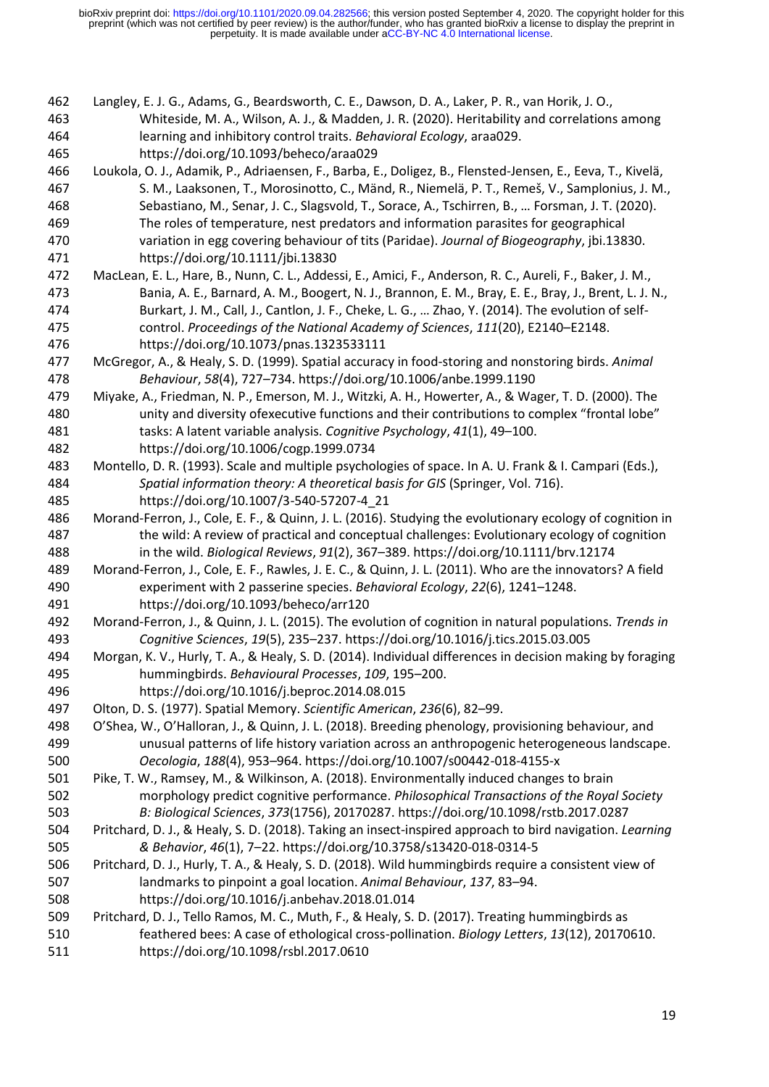Langley, E. J. G., Adams, G., Beardsworth, C. E., Dawson, D. A., Laker, P. R., van Horik, J. O., Whiteside, M. A., Wilson, A. J., & Madden, J. R. (2020). Heritability and correlations among learning and inhibitory control traits. *Behavioral Ecology*, araa029. https://doi.org/10.1093/beheco/araa029

- Loukola, O. J., Adamik, P., Adriaensen, F., Barba, E., Doligez, B., Flensted‐Jensen, E., Eeva, T., Kivelä, S. M., Laaksonen, T., Morosinotto, C., Mänd, R., Niemelä, P. T., Remeš, V., Samplonius, J. M., Sebastiano, M., Senar, J. C., Slagsvold, T., Sorace, A., Tschirren, B., … Forsman, J. T. (2020). The roles of temperature, nest predators and information parasites for geographical variation in egg covering behaviour of tits (Paridae). *Journal of Biogeography*, jbi.13830. https://doi.org/10.1111/jbi.13830
- MacLean, E. L., Hare, B., Nunn, C. L., Addessi, E., Amici, F., Anderson, R. C., Aureli, F., Baker, J. M., Bania, A. E., Barnard, A. M., Boogert, N. J., Brannon, E. M., Bray, E. E., Bray, J., Brent, L. J. N., Burkart, J. M., Call, J., Cantlon, J. F., Cheke, L. G., … Zhao, Y. (2014). The evolution of self- control. *Proceedings of the National Academy of Sciences*, *111*(20), E2140–E2148. https://doi.org/10.1073/pnas.1323533111
- McGregor, A., & Healy, S. D. (1999). Spatial accuracy in food-storing and nonstoring birds. *Animal Behaviour*, *58*(4), 727–734. https://doi.org/10.1006/anbe.1999.1190
- Miyake, A., Friedman, N. P., Emerson, M. J., Witzki, A. H., Howerter, A., & Wager, T. D. (2000). The unity and diversity ofexecutive functions and their contributions to complex "frontal lobe" tasks: A latent variable analysis. *Cognitive Psychology*, *41*(1), 49–100. https://doi.org/10.1006/cogp.1999.0734
- Montello, D. R. (1993). Scale and multiple psychologies of space. In A. U. Frank & I. Campari (Eds.), *Spatial information theory: A theoretical basis for GIS* (Springer, Vol. 716). https://doi.org/10.1007/3-540-57207-4\_21
- Morand-Ferron, J., Cole, E. F., & Quinn, J. L. (2016). Studying the evolutionary ecology of cognition in the wild: A review of practical and conceptual challenges: Evolutionary ecology of cognition in the wild. *Biological Reviews*, *91*(2), 367–389. https://doi.org/10.1111/brv.12174
- Morand-Ferron, J., Cole, E. F., Rawles, J. E. C., & Quinn, J. L. (2011). Who are the innovators? A field experiment with 2 passerine species. *Behavioral Ecology*, *22*(6), 1241–1248. https://doi.org/10.1093/beheco/arr120
- Morand-Ferron, J., & Quinn, J. L. (2015). The evolution of cognition in natural populations. *Trends in Cognitive Sciences*, *19*(5), 235–237. https://doi.org/10.1016/j.tics.2015.03.005
- Morgan, K. V., Hurly, T. A., & Healy, S. D. (2014). Individual differences in decision making by foraging hummingbirds. *Behavioural Processes*, *109*, 195–200. https://doi.org/10.1016/j.beproc.2014.08.015
- Olton, D. S. (1977). Spatial Memory. *Scientific American*, *236*(6), 82–99.
- O'Shea, W., O'Halloran, J., & Quinn, J. L. (2018). Breeding phenology, provisioning behaviour, and unusual patterns of life history variation across an anthropogenic heterogeneous landscape. *Oecologia*, *188*(4), 953–964. https://doi.org/10.1007/s00442-018-4155-x
- Pike, T. W., Ramsey, M., & Wilkinson, A. (2018). Environmentally induced changes to brain morphology predict cognitive performance. *Philosophical Transactions of the Royal Society B: Biological Sciences*, *373*(1756), 20170287. https://doi.org/10.1098/rstb.2017.0287
- Pritchard, D. J., & Healy, S. D. (2018). Taking an insect-inspired approach to bird navigation. *Learning & Behavior*, *46*(1), 7–22. https://doi.org/10.3758/s13420-018-0314-5
- Pritchard, D. J., Hurly, T. A., & Healy, S. D. (2018). Wild hummingbirds require a consistent view of landmarks to pinpoint a goal location. *Animal Behaviour*, *137*, 83–94. https://doi.org/10.1016/j.anbehav.2018.01.014
- Pritchard, D. J., Tello Ramos, M. C., Muth, F., & Healy, S. D. (2017). Treating hummingbirds as feathered bees: A case of ethological cross-pollination. *Biology Letters*, *13*(12), 20170610. https://doi.org/10.1098/rsbl.2017.0610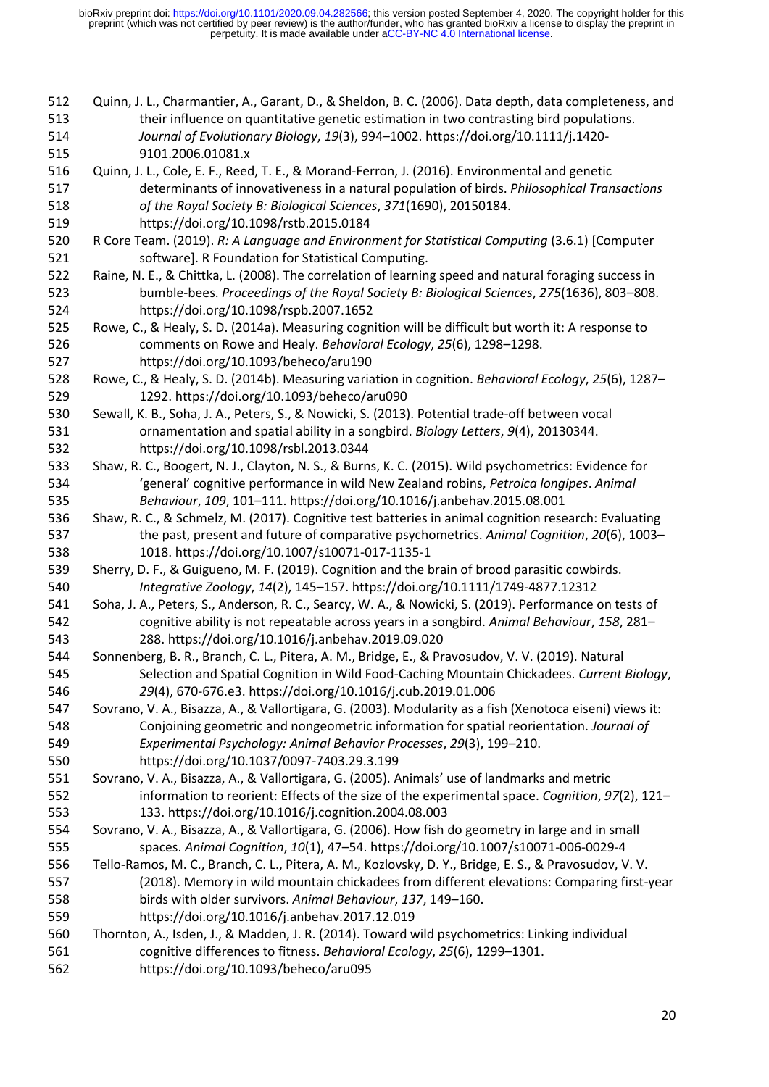| 512 | Quinn, J. L., Charmantier, A., Garant, D., & Sheldon, B. C. (2006). Data depth, data completeness, and   |
|-----|----------------------------------------------------------------------------------------------------------|
| 513 | their influence on quantitative genetic estimation in two contrasting bird populations.                  |
| 514 | Journal of Evolutionary Biology, 19(3), 994-1002. https://doi.org/10.1111/j.1420-                        |
| 515 | 9101.2006.01081.x                                                                                        |
| 516 | Quinn, J. L., Cole, E. F., Reed, T. E., & Morand-Ferron, J. (2016). Environmental and genetic            |
| 517 | determinants of innovativeness in a natural population of birds. Philosophical Transactions              |
| 518 | of the Royal Society B: Biological Sciences, 371(1690), 20150184.                                        |
| 519 | https://doi.org/10.1098/rstb.2015.0184                                                                   |
| 520 | R Core Team. (2019). R: A Language and Environment for Statistical Computing (3.6.1) [Computer           |
| 521 | software]. R Foundation for Statistical Computing.                                                       |
| 522 | Raine, N. E., & Chittka, L. (2008). The correlation of learning speed and natural foraging success in    |
| 523 | bumble-bees. Proceedings of the Royal Society B: Biological Sciences, 275(1636), 803-808.                |
| 524 | https://doi.org/10.1098/rspb.2007.1652                                                                   |
| 525 | Rowe, C., & Healy, S. D. (2014a). Measuring cognition will be difficult but worth it: A response to      |
| 526 | comments on Rowe and Healy. Behavioral Ecology, 25(6), 1298-1298.                                        |
| 527 | https://doi.org/10.1093/beheco/aru190                                                                    |
| 528 | Rowe, C., & Healy, S. D. (2014b). Measuring variation in cognition. Behavioral Ecology, 25(6), 1287-     |
| 529 | 1292. https://doi.org/10.1093/beheco/aru090                                                              |
| 530 | Sewall, K. B., Soha, J. A., Peters, S., & Nowicki, S. (2013). Potential trade-off between vocal          |
| 531 | ornamentation and spatial ability in a songbird. Biology Letters, 9(4), 20130344.                        |
| 532 | https://doi.org/10.1098/rsbl.2013.0344                                                                   |
| 533 | Shaw, R. C., Boogert, N. J., Clayton, N. S., & Burns, K. C. (2015). Wild psychometrics: Evidence for     |
| 534 | 'general' cognitive performance in wild New Zealand robins, Petroica longipes. Animal                    |
| 535 | Behaviour, 109, 101-111. https://doi.org/10.1016/j.anbehav.2015.08.001                                   |
| 536 | Shaw, R. C., & Schmelz, M. (2017). Cognitive test batteries in animal cognition research: Evaluating     |
| 537 | the past, present and future of comparative psychometrics. Animal Cognition, 20(6), 1003-                |
| 538 | 1018. https://doi.org/10.1007/s10071-017-1135-1                                                          |
| 539 | Sherry, D. F., & Guigueno, M. F. (2019). Cognition and the brain of brood parasitic cowbirds.            |
| 540 | Integrative Zoology, 14(2), 145-157. https://doi.org/10.1111/1749-4877.12312                             |
| 541 | Soha, J. A., Peters, S., Anderson, R. C., Searcy, W. A., & Nowicki, S. (2019). Performance on tests of   |
| 542 | cognitive ability is not repeatable across years in a songbird. Animal Behaviour, 158, 281-              |
| 543 | 288. https://doi.org/10.1016/j.anbehav.2019.09.020                                                       |
| 544 | Sonnenberg, B. R., Branch, C. L., Pitera, A. M., Bridge, E., & Pravosudov, V. V. (2019). Natural         |
| 545 | Selection and Spatial Cognition in Wild Food-Caching Mountain Chickadees. Current Biology,               |
| 546 | 29(4), 670-676.e3. https://doi.org/10.1016/j.cub.2019.01.006                                             |
| 547 | Sovrano, V. A., Bisazza, A., & Vallortigara, G. (2003). Modularity as a fish (Xenotoca eiseni) views it: |
| 548 | Conjoining geometric and nongeometric information for spatial reorientation. Journal of                  |
| 549 | Experimental Psychology: Animal Behavior Processes, 29(3), 199-210.                                      |
| 550 | https://doi.org/10.1037/0097-7403.29.3.199                                                               |
| 551 | Sovrano, V. A., Bisazza, A., & Vallortigara, G. (2005). Animals' use of landmarks and metric             |
| 552 | information to reorient: Effects of the size of the experimental space. Cognition, 97(2), 121-           |
| 553 | 133. https://doi.org/10.1016/j.cognition.2004.08.003                                                     |
| 554 | Sovrano, V. A., Bisazza, A., & Vallortigara, G. (2006). How fish do geometry in large and in small       |
| 555 | spaces. Animal Cognition, 10(1), 47-54. https://doi.org/10.1007/s10071-006-0029-4                        |
| 556 | Tello-Ramos, M. C., Branch, C. L., Pitera, A. M., Kozlovsky, D. Y., Bridge, E. S., & Pravosudov, V. V.   |
| 557 | (2018). Memory in wild mountain chickadees from different elevations: Comparing first-year               |
| 558 | birds with older survivors. Animal Behaviour, 137, 149-160.                                              |
| 559 | https://doi.org/10.1016/j.anbehav.2017.12.019                                                            |
| 560 | Thornton, A., Isden, J., & Madden, J. R. (2014). Toward wild psychometrics: Linking individual           |
| 561 | cognitive differences to fitness. Behavioral Ecology, 25(6), 1299-1301.                                  |
| 562 | https://doi.org/10.1093/beheco/aru095                                                                    |
|     |                                                                                                          |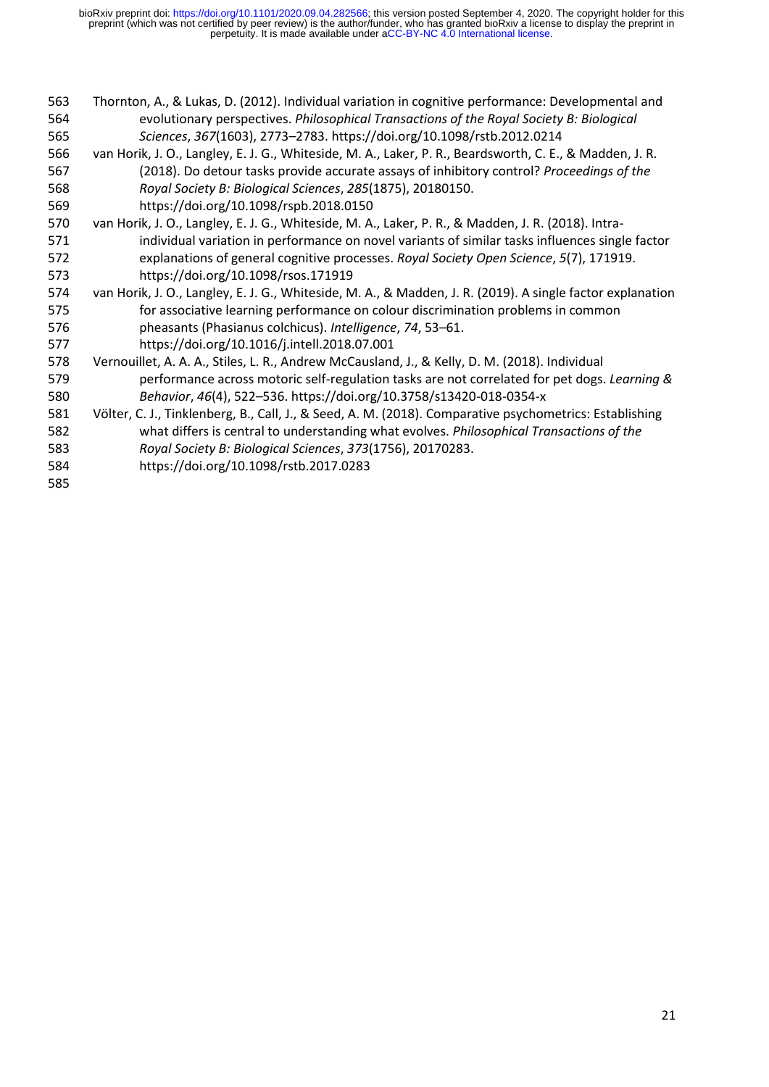- Thornton, A., & Lukas, D. (2012). Individual variation in cognitive performance: Developmental and evolutionary perspectives. *Philosophical Transactions of the Royal Society B: Biological Sciences*, *367*(1603), 2773–2783. https://doi.org/10.1098/rstb.2012.0214 van Horik, J. O., Langley, E. J. G., Whiteside, M. A., Laker, P. R., Beardsworth, C. E., & Madden, J. R. (2018). Do detour tasks provide accurate assays of inhibitory control? *Proceedings of the Royal Society B: Biological Sciences*, *285*(1875), 20180150. https://doi.org/10.1098/rspb.2018.0150 van Horik, J. O., Langley, E. J. G., Whiteside, M. A., Laker, P. R., & Madden, J. R. (2018). Intra- individual variation in performance on novel variants of similar tasks influences single factor explanations of general cognitive processes. *Royal Society Open Science*, *5*(7), 171919. https://doi.org/10.1098/rsos.171919 van Horik, J. O., Langley, E. J. G., Whiteside, M. A., & Madden, J. R. (2019). A single factor explanation for associative learning performance on colour discrimination problems in common pheasants (Phasianus colchicus). *Intelligence*, *74*, 53–61. https://doi.org/10.1016/j.intell.2018.07.001 Vernouillet, A. A. A., Stiles, L. R., Andrew McCausland, J., & Kelly, D. M. (2018). Individual performance across motoric self-regulation tasks are not correlated for pet dogs. *Learning & Behavior*, *46*(4), 522–536. https://doi.org/10.3758/s13420-018-0354-x Völter, C. J., Tinklenberg, B., Call, J., & Seed, A. M. (2018). Comparative psychometrics: Establishing what differs is central to understanding what evolves. *Philosophical Transactions of the Royal Society B: Biological Sciences*, *373*(1756), 20170283.
- https://doi.org/10.1098/rstb.2017.0283
-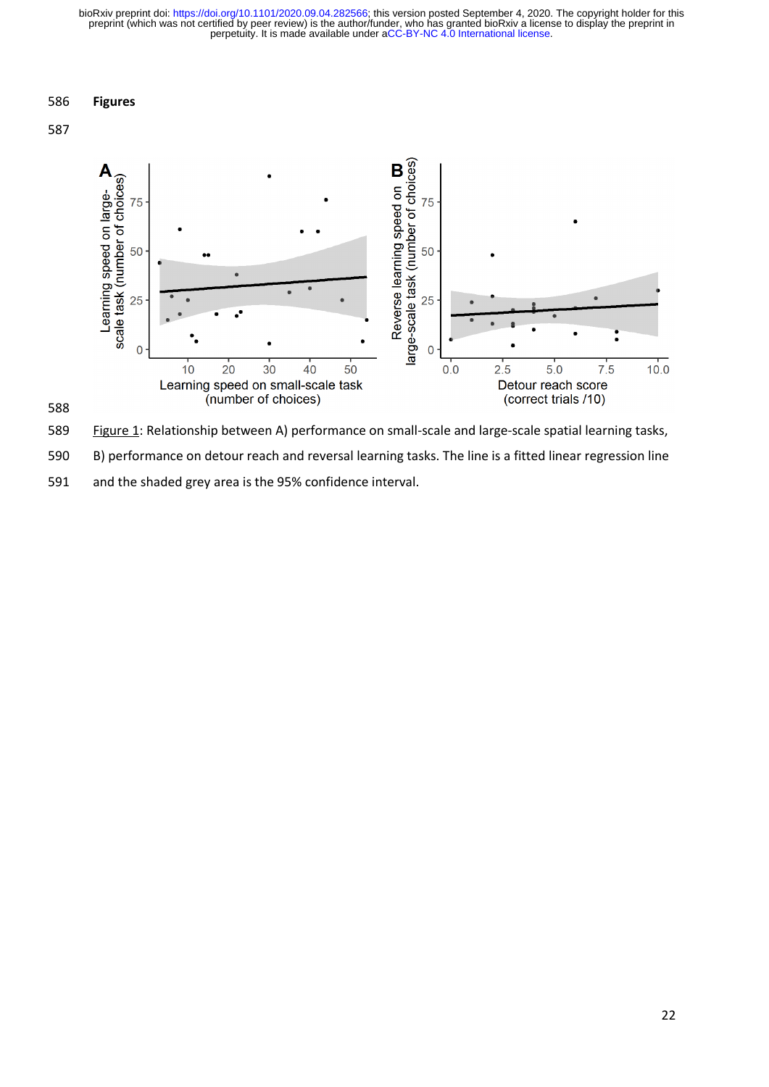### **Figures**







Figure 1: Relationship between A) performance on small-scale and large-scale spatial learning tasks,

B) performance on detour reach and reversal learning tasks. The line is a fitted linear regression line

and the shaded grey area is the 95% confidence interval.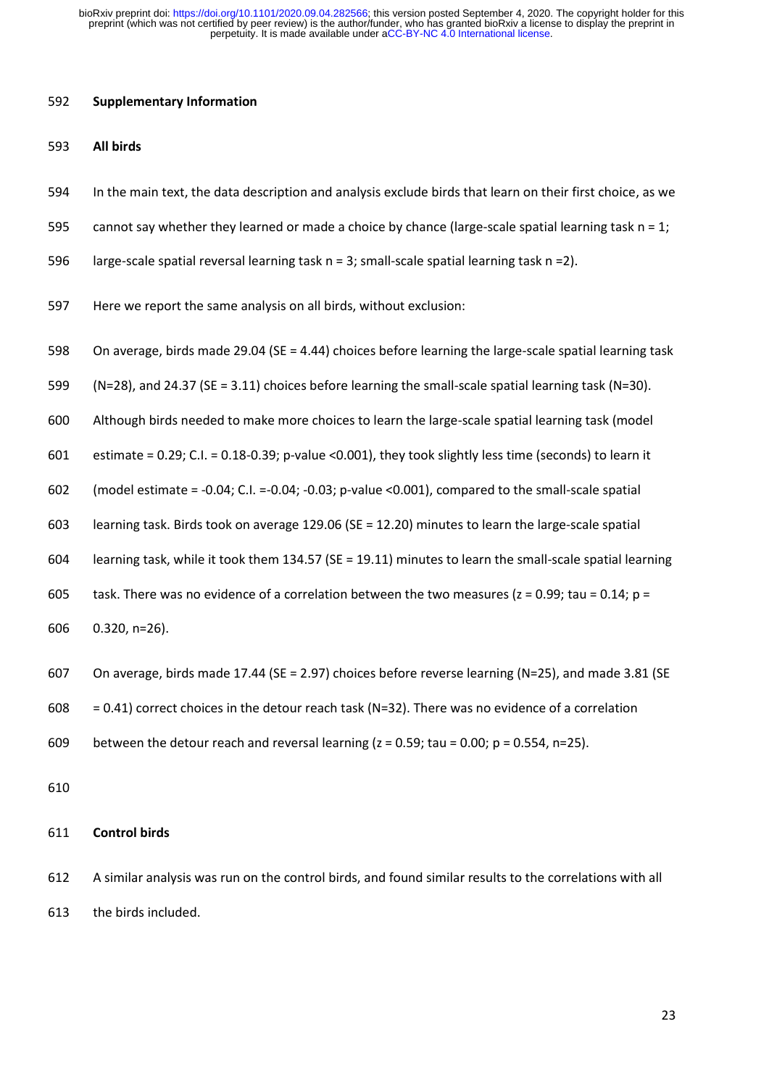#### **Supplementary Information**

#### **All birds**

- In the main text, the data description and analysis exclude birds that learn on their first choice, as we
- 595 cannot say whether they learned or made a choice by chance (large-scale spatial learning task  $n = 1$ ;
- 596 large-scale spatial reversal learning task  $n = 3$ ; small-scale spatial learning task  $n = 2$ ).
- Here we report the same analysis on all birds, without exclusion:
- On average, birds made 29.04 (SE = 4.44) choices before learning the large-scale spatial learning task
- (N=28), and 24.37 (SE = 3.11) choices before learning the small-scale spatial learning task (N=30).
- Although birds needed to make more choices to learn the large-scale spatial learning task (model

estimate = 0.29; C.I. = 0.18-0.39; p-value <0.001), they took slightly less time (seconds) to learn it

- (model estimate = -0.04; C.I. =-0.04; -0.03; p-value <0.001), compared to the small-scale spatial
- learning task. Birds took on average 129.06 (SE = 12.20) minutes to learn the large-scale spatial
- learning task, while it took them 134.57 (SE = 19.11) minutes to learn the small-scale spatial learning
- 605 task. There was no evidence of a correlation between the two measures ( $z = 0.99$ ; tau = 0.14;  $p =$
- 0.320, n=26).
- On average, birds made 17.44 (SE = 2.97) choices before reverse learning (N=25), and made 3.81 (SE
- 608 = 0.41) correct choices in the detour reach task (N=32). There was no evidence of a correlation
- 609 between the detour reach and reversal learning  $(z = 0.59; \text{tau} = 0.00; \text{p} = 0.554, \text{p} = 25)$ .
- 

### **Control birds**

 A similar analysis was run on the control birds, and found similar results to the correlations with all the birds included.